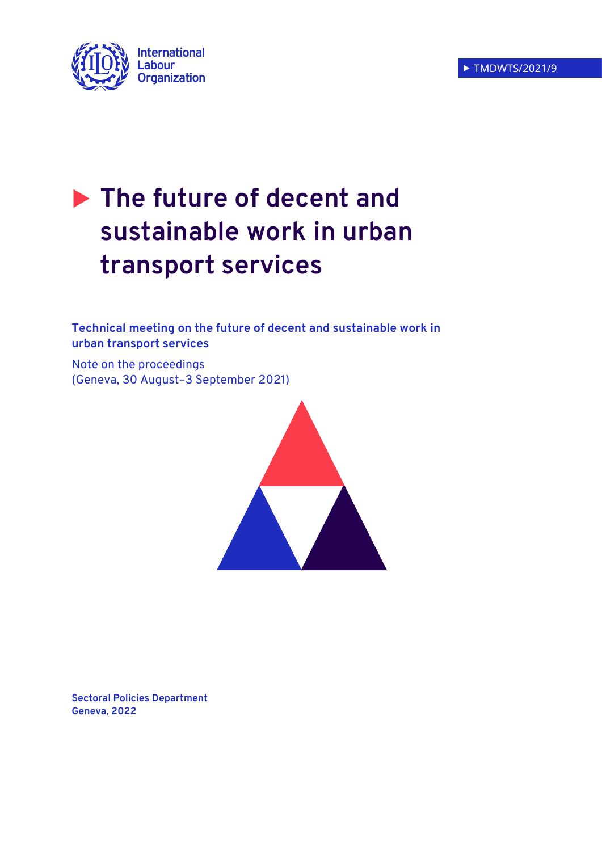

# **The future of decent and sustainable work in urban transport services**

**Technical meeting on the future of decent and sustainable work in urban transport services** 

Note on the proceedings (Geneva, 30 August–3 September 2021)



**Sectoral Policies Department Geneva, 2022**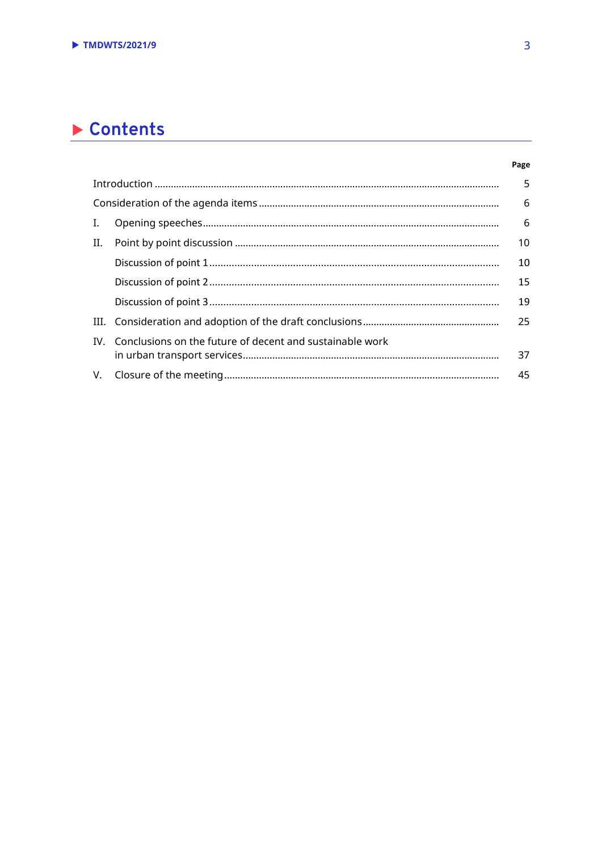## Contents

| Ι.  |                                                              | 6  |  |
|-----|--------------------------------------------------------------|----|--|
| II. |                                                              | 10 |  |
|     |                                                              | 10 |  |
|     |                                                              | 15 |  |
|     |                                                              | 19 |  |
|     |                                                              | 25 |  |
|     | IV. Conclusions on the future of decent and sustainable work |    |  |
|     |                                                              | 37 |  |
|     |                                                              | 45 |  |

Page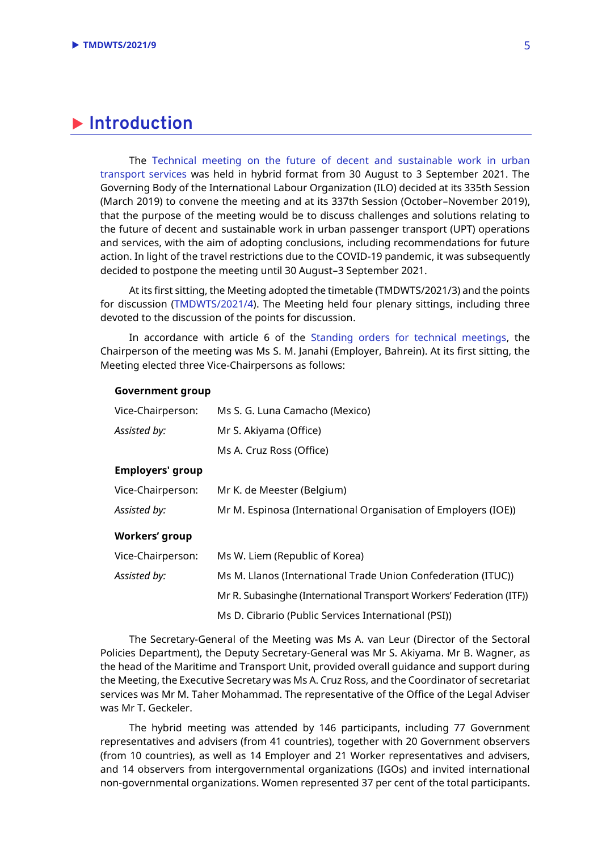## <span id="page-4-0"></span>**Introduction**

The [Technical meeting on the future of decent and sustainable work in urban](https://www.ilo.org/sector/activities/sectoral-meetings/WCMS_726153/lang--en/index.htm)  [transport services](https://www.ilo.org/sector/activities/sectoral-meetings/WCMS_726153/lang--en/index.htm) was held in hybrid format from 30 August to 3 September 2021. The Governing Body of the International Labour Organization (ILO) decided at its 335th Session (March 2019) to convene the meeting and at its 337th Session (October–November 2019), that the purpose of the meeting would be to discuss challenges and solutions relating to the future of decent and sustainable work in urban passenger transport (UPT) operations and services, with the aim of adopting conclusions, including recommendations for future action. In light of the travel restrictions due to the COVID-19 pandemic, it was subsequently decided to postpone the meeting until 30 August–3 September 2021.

At its first sitting, the Meeting adopted the timetable (TMDWTS/2021/3) and the points for discussion [\(TMDWTS/2021/4\)](https://www.ilo.org/wcmsp5/groups/public/---ed_dialogue/---sector/documents/meetingdocument/wcms_816718.pdf). The Meeting held four plenary sittings, including three devoted to the discussion of the points for discussion.

In accordance with article 6 of the [Standing orders for technical meetings,](https://www.ilo.org/wcmsp5/groups/public/---dgreports/---jur/documents/genericdocument/wcms_649908.pdf) the Chairperson of the meeting was Ms S. M. Janahi (Employer, Bahrein). At its first sitting, the Meeting elected three Vice-Chairpersons as follows:

#### **Government group**

| Vice-Chairperson:       | Ms S. G. Luna Camacho (Mexico)                                       |  |  |
|-------------------------|----------------------------------------------------------------------|--|--|
| Assisted by:            | Mr S. Akiyama (Office)                                               |  |  |
|                         | Ms A. Cruz Ross (Office)                                             |  |  |
| <b>Employers' group</b> |                                                                      |  |  |
| Vice-Chairperson:       | Mr K. de Meester (Belgium)                                           |  |  |
| Assisted by:            | Mr M. Espinosa (International Organisation of Employers (IOE))       |  |  |
| <b>Workers' group</b>   |                                                                      |  |  |
| Vice-Chairperson:       | Ms W. Liem (Republic of Korea)                                       |  |  |
| Assisted by:            | Ms M. Llanos (International Trade Union Confederation (ITUC))        |  |  |
|                         | Mr R. Subasinghe (International Transport Workers' Federation (ITF)) |  |  |
|                         | Ms D. Cibrario (Public Services International (PSI))                 |  |  |

The Secretary-General of the Meeting was Ms A. van Leur (Director of the Sectoral Policies Department), the Deputy Secretary-General was Mr S. Akiyama. Mr B. Wagner, as the head of the Maritime and Transport Unit, provided overall guidance and support during the Meeting, the Executive Secretary was Ms A. Cruz Ross, and the Coordinator of secretariat services was Mr M. Taher Mohammad. The representative of the Office of the Legal Adviser was Mr T. Geckeler.

The hybrid meeting was attended by 146 participants, including 77 Government representatives and advisers (from 41 countries), together with 20 Government observers (from 10 countries), as well as 14 Employer and 21 Worker representatives and advisers, and 14 observers from intergovernmental organizations (IGOs) and invited international non-governmental organizations. Women represented 37 per cent of the total participants.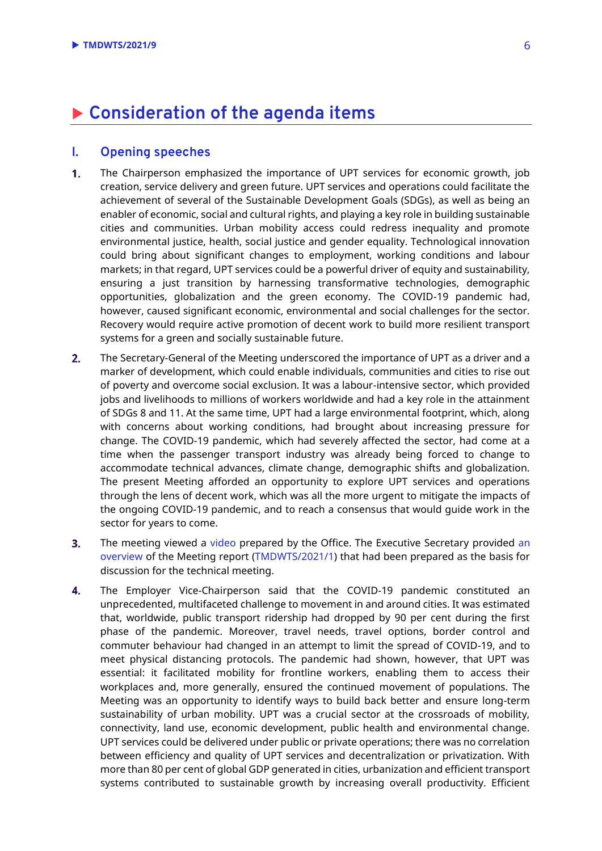## <span id="page-5-0"></span>**Consideration of the agenda items**

## <span id="page-5-1"></span>**I. Opening speeches**

- $\overline{1}$ . The Chairperson emphasized the importance of UPT services for economic growth, job creation, service delivery and green future. UPT services and operations could facilitate the achievement of several of the Sustainable Development Goals (SDGs), as well as being an enabler of economic, social and cultural rights, and playing a key role in building sustainable cities and communities. Urban mobility access could redress inequality and promote environmental justice, health, social justice and gender equality. Technological innovation could bring about significant changes to employment, working conditions and labour markets; in that regard, UPT services could be a powerful driver of equity and sustainability, ensuring a just transition by harnessing transformative technologies, demographic opportunities, globalization and the green economy. The COVID-19 pandemic had, however, caused significant economic, environmental and social challenges for the sector. Recovery would require active promotion of decent work to build more resilient transport systems for a green and socially sustainable future.
- $2.$ The Secretary-General of the Meeting underscored the importance of UPT as a driver and a marker of development, which could enable individuals, communities and cities to rise out of poverty and overcome social exclusion. It was a labour-intensive sector, which provided jobs and livelihoods to millions of workers worldwide and had a key role in the attainment of SDGs 8 and 11. At the same time, UPT had a large environmental footprint, which, along with concerns about working conditions, had brought about increasing pressure for change. The COVID-19 pandemic, which had severely affected the sector, had come at a time when the passenger transport industry was already being forced to change to accommodate technical advances, climate change, demographic shifts and globalization. The present Meeting afforded an opportunity to explore UPT services and operations through the lens of decent work, which was all the more urgent to mitigate the impacts of the ongoing COVID-19 pandemic, and to reach a consensus that would guide work in the sector for years to come.
- $3.$ The meeting viewed a [video](https://www.youtube.com/watch?v=pIXh61N-jIU) prepared by the Office. The Executive Secretary provided [an](https://www.ilo.org/sector/activities/sectoral-meetings/WCMS_818255/lang--en/index.htm)  [overview](https://www.ilo.org/sector/activities/sectoral-meetings/WCMS_818255/lang--en/index.htm) of the Meeting report [\(TMDWTS/2021/1\)](https://www.ilo.org/wcmsp5/groups/public/---ed_dialogue/---sector/documents/meetingdocument/wcms_795523.pdf) that had been prepared as the basis for discussion for the technical meeting.
- $\overline{4}$ . The Employer Vice-Chairperson said that the COVID-19 pandemic constituted an unprecedented, multifaceted challenge to movement in and around cities. It was estimated that, worldwide, public transport ridership had dropped by 90 per cent during the first phase of the pandemic. Moreover, travel needs, travel options, border control and commuter behaviour had changed in an attempt to limit the spread of COVID-19, and to meet physical distancing protocols. The pandemic had shown, however, that UPT was essential: it facilitated mobility for frontline workers, enabling them to access their workplaces and, more generally, ensured the continued movement of populations. The Meeting was an opportunity to identify ways to build back better and ensure long-term sustainability of urban mobility. UPT was a crucial sector at the crossroads of mobility, connectivity, land use, economic development, public health and environmental change. UPT services could be delivered under public or private operations; there was no correlation between efficiency and quality of UPT services and decentralization or privatization. With more than 80 per cent of global GDP generated in cities, urbanization and efficient transport systems contributed to sustainable growth by increasing overall productivity. Efficient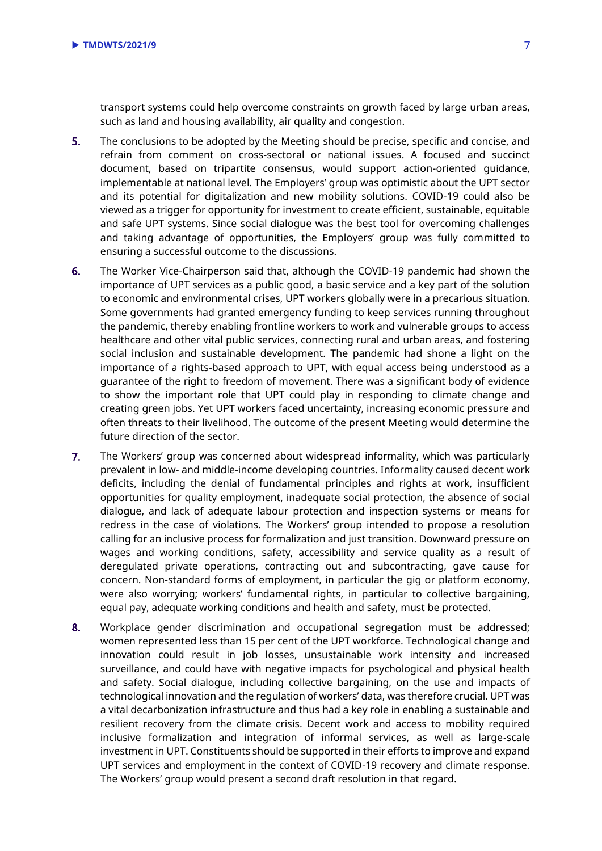transport systems could help overcome constraints on growth faced by large urban areas, such as land and housing availability, air quality and congestion.

- $5.$ The conclusions to be adopted by the Meeting should be precise, specific and concise, and refrain from comment on cross-sectoral or national issues. A focused and succinct document, based on tripartite consensus, would support action-oriented guidance, implementable at national level. The Employers' group was optimistic about the UPT sector and its potential for digitalization and new mobility solutions. COVID-19 could also be viewed as a trigger for opportunity for investment to create efficient, sustainable, equitable and safe UPT systems. Since social dialogue was the best tool for overcoming challenges and taking advantage of opportunities, the Employers' group was fully committed to ensuring a successful outcome to the discussions.
- 6. The Worker Vice-Chairperson said that, although the COVID-19 pandemic had shown the importance of UPT services as a public good, a basic service and a key part of the solution to economic and environmental crises, UPT workers globally were in a precarious situation. Some governments had granted emergency funding to keep services running throughout the pandemic, thereby enabling frontline workers to work and vulnerable groups to access healthcare and other vital public services, connecting rural and urban areas, and fostering social inclusion and sustainable development. The pandemic had shone a light on the importance of a rights-based approach to UPT, with equal access being understood as a guarantee of the right to freedom of movement. There was a significant body of evidence to show the important role that UPT could play in responding to climate change and creating green jobs. Yet UPT workers faced uncertainty, increasing economic pressure and often threats to their livelihood. The outcome of the present Meeting would determine the future direction of the sector.
- $7.$ The Workers' group was concerned about widespread informality, which was particularly prevalent in low- and middle-income developing countries. Informality caused decent work deficits, including the denial of fundamental principles and rights at work, insufficient opportunities for quality employment, inadequate social protection, the absence of social dialogue, and lack of adequate labour protection and inspection systems or means for redress in the case of violations. The Workers' group intended to propose a resolution calling for an inclusive process for formalization and just transition. Downward pressure on wages and working conditions, safety, accessibility and service quality as a result of deregulated private operations, contracting out and subcontracting, gave cause for concern. Non-standard forms of employment, in particular the gig or platform economy, were also worrying; workers' fundamental rights, in particular to collective bargaining, equal pay, adequate working conditions and health and safety, must be protected.
- $8.$ Workplace gender discrimination and occupational segregation must be addressed; women represented less than 15 per cent of the UPT workforce. Technological change and innovation could result in job losses, unsustainable work intensity and increased surveillance, and could have with negative impacts for psychological and physical health and safety. Social dialogue, including collective bargaining, on the use and impacts of technological innovation and the regulation of workers' data, was therefore crucial. UPT was a vital decarbonization infrastructure and thus had a key role in enabling a sustainable and resilient recovery from the climate crisis. Decent work and access to mobility required inclusive formalization and integration of informal services, as well as large-scale investment in UPT. Constituents should be supported in their efforts to improve and expand UPT services and employment in the context of COVID-19 recovery and climate response. The Workers' group would present a second draft resolution in that regard.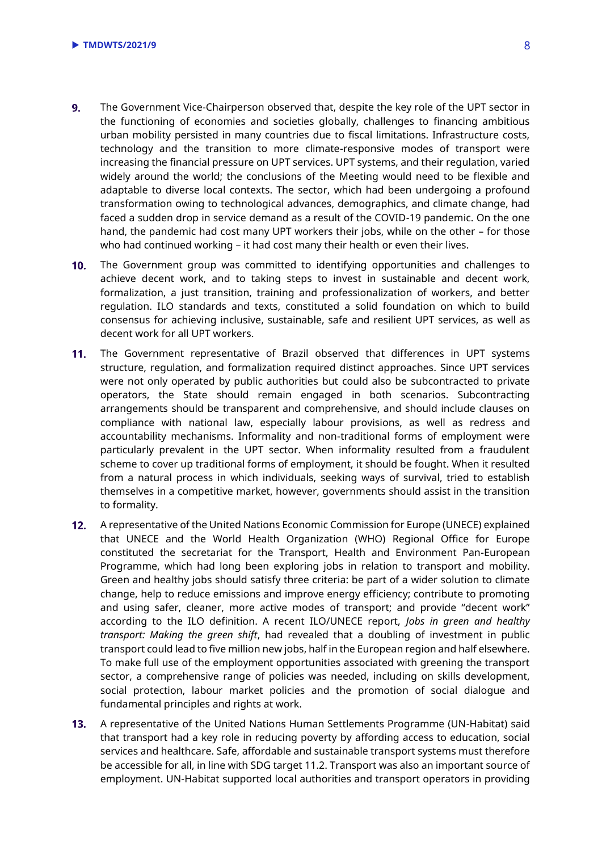- $9<sub>1</sub>$ The Government Vice-Chairperson observed that, despite the key role of the UPT sector in the functioning of economies and societies globally, challenges to financing ambitious urban mobility persisted in many countries due to fiscal limitations. Infrastructure costs, technology and the transition to more climate-responsive modes of transport were increasing the financial pressure on UPT services. UPT systems, and their regulation, varied widely around the world; the conclusions of the Meeting would need to be flexible and adaptable to diverse local contexts. The sector, which had been undergoing a profound transformation owing to technological advances, demographics, and climate change, had faced a sudden drop in service demand as a result of the COVID-19 pandemic. On the one hand, the pandemic had cost many UPT workers their jobs, while on the other – for those who had continued working – it had cost many their health or even their lives.
- $10<sub>1</sub>$ The Government group was committed to identifying opportunities and challenges to achieve decent work, and to taking steps to invest in sustainable and decent work, formalization, a just transition, training and professionalization of workers, and better regulation. ILO standards and texts, constituted a solid foundation on which to build consensus for achieving inclusive, sustainable, safe and resilient UPT services, as well as decent work for all UPT workers.
- $11.$ The Government representative of Brazil observed that differences in UPT systems structure, regulation, and formalization required distinct approaches. Since UPT services were not only operated by public authorities but could also be subcontracted to private operators, the State should remain engaged in both scenarios. Subcontracting arrangements should be transparent and comprehensive, and should include clauses on compliance with national law, especially labour provisions, as well as redress and accountability mechanisms. Informality and non-traditional forms of employment were particularly prevalent in the UPT sector. When informality resulted from a fraudulent scheme to cover up traditional forms of employment, it should be fought. When it resulted from a natural process in which individuals, seeking ways of survival, tried to establish themselves in a competitive market, however, governments should assist in the transition to formality.
- $12.$ A representative of the United Nations Economic Commission for Europe (UNECE) explained that UNECE and the World Health Organization (WHO) Regional Office for Europe constituted the secretariat for the Transport, Health and Environment Pan-European Programme, which had long been exploring jobs in relation to transport and mobility. Green and healthy jobs should satisfy three criteria: be part of a wider solution to climate change, help to reduce emissions and improve energy efficiency; contribute to promoting and using safer, cleaner, more active modes of transport; and provide "decent work" according to the ILO definition. A recent ILO/UNECE report, *Jobs in green and healthy transport: Making the green shift*, had revealed that a doubling of investment in public transport could lead to five million new jobs, half in the European region and half elsewhere. To make full use of the employment opportunities associated with greening the transport sector, a comprehensive range of policies was needed, including on skills development, social protection, labour market policies and the promotion of social dialogue and fundamental principles and rights at work.
- $13.$ A representative of the United Nations Human Settlements Programme (UN-Habitat) said that transport had a key role in reducing poverty by affording access to education, social services and healthcare. Safe, affordable and sustainable transport systems must therefore be accessible for all, in line with SDG target 11.2. Transport was also an important source of employment. UN-Habitat supported local authorities and transport operators in providing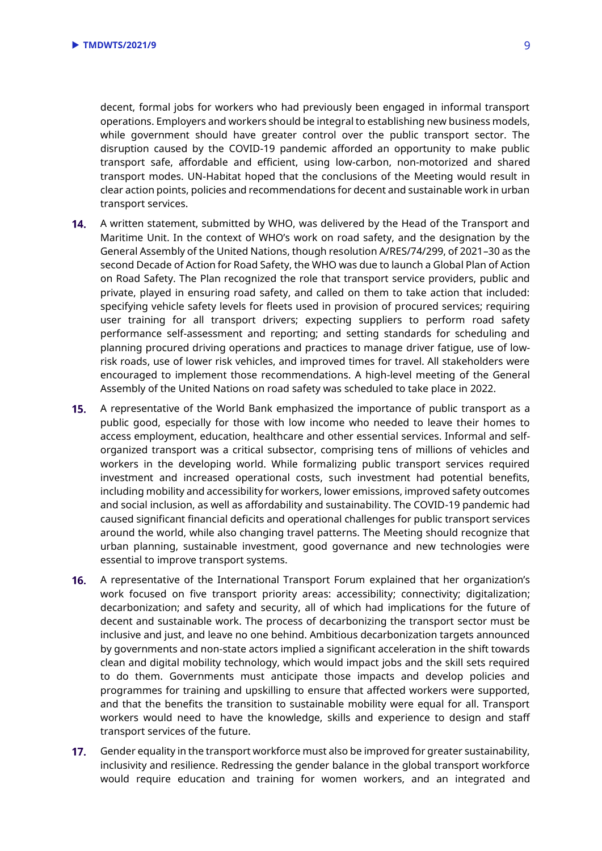decent, formal jobs for workers who had previously been engaged in informal transport operations. Employers and workers should be integral to establishing new business models, while government should have greater control over the public transport sector. The disruption caused by the COVID-19 pandemic afforded an opportunity to make public transport safe, affordable and efficient, using low-carbon, non-motorized and shared transport modes. UN-Habitat hoped that the conclusions of the Meeting would result in clear action points, policies and recommendations for decent and sustainable work in urban transport services.

- $14.$ A written statement, submitted by WHO, was delivered by the Head of the Transport and Maritime Unit. In the context of WHO's work on road safety, and the designation by the General Assembly of the United Nations, though resolution A/RES/74/299, of 2021–30 as the second Decade of Action for Road Safety, the WHO was due to launch a Global Plan of Action on Road Safety. The Plan recognized the role that transport service providers, public and private, played in ensuring road safety, and called on them to take action that included: specifying vehicle safety levels for fleets used in provision of procured services; requiring user training for all transport drivers; expecting suppliers to perform road safety performance self-assessment and reporting; and setting standards for scheduling and planning procured driving operations and practices to manage driver fatigue, use of lowrisk roads, use of lower risk vehicles, and improved times for travel. All stakeholders were encouraged to implement those recommendations. A high-level meeting of the General Assembly of the United Nations on road safety was scheduled to take place in 2022.
- $15.$ A representative of the World Bank emphasized the importance of public transport as a public good, especially for those with low income who needed to leave their homes to access employment, education, healthcare and other essential services. Informal and selforganized transport was a critical subsector, comprising tens of millions of vehicles and workers in the developing world. While formalizing public transport services required investment and increased operational costs, such investment had potential benefits, including mobility and accessibility for workers, lower emissions, improved safety outcomes and social inclusion, as well as affordability and sustainability. The COVID-19 pandemic had caused significant financial deficits and operational challenges for public transport services around the world, while also changing travel patterns. The Meeting should recognize that urban planning, sustainable investment, good governance and new technologies were essential to improve transport systems.
- A representative of the International Transport Forum explained that her organization's  $16.$ work focused on five transport priority areas: accessibility; connectivity; digitalization; decarbonization; and safety and security, all of which had implications for the future of decent and sustainable work. The process of decarbonizing the transport sector must be inclusive and just, and leave no one behind. Ambitious decarbonization targets announced by governments and non-state actors implied a significant acceleration in the shift towards clean and digital mobility technology, which would impact jobs and the skill sets required to do them. Governments must anticipate those impacts and develop policies and programmes for training and upskilling to ensure that affected workers were supported, and that the benefits the transition to sustainable mobility were equal for all. Transport workers would need to have the knowledge, skills and experience to design and staff transport services of the future.
- $17.$ Gender equality in the transport workforce must also be improved for greater sustainability, inclusivity and resilience. Redressing the gender balance in the global transport workforce would require education and training for women workers, and an integrated and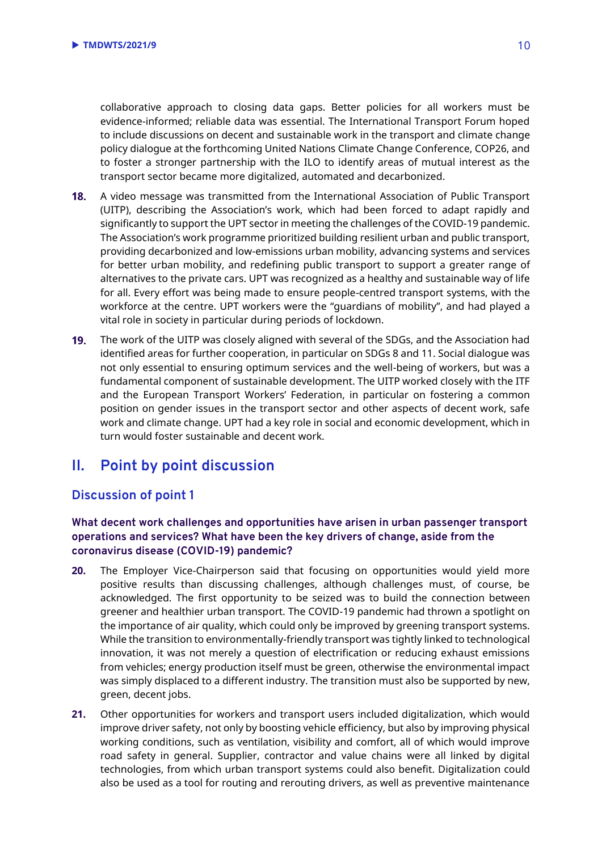collaborative approach to closing data gaps. Better policies for all workers must be evidence-informed; reliable data was essential. The International Transport Forum hoped to include discussions on decent and sustainable work in the transport and climate change policy dialogue at the forthcoming United Nations Climate Change Conference, COP26, and to foster a stronger partnership with the ILO to identify areas of mutual interest as the transport sector became more digitalized, automated and decarbonized.

- 18. A video message was transmitted from the International Association of Public Transport (UITP), describing the Association's work, which had been forced to adapt rapidly and significantly to support the UPT sector in meeting the challenges of the COVID-19 pandemic. The Association's work programme prioritized building resilient urban and public transport, providing decarbonized and low-emissions urban mobility, advancing systems and services for better urban mobility, and redefining public transport to support a greater range of alternatives to the private cars. UPT was recognized as a healthy and sustainable way of life for all. Every effort was being made to ensure people-centred transport systems, with the workforce at the centre. UPT workers were the "guardians of mobility", and had played a vital role in society in particular during periods of lockdown.
- 19. The work of the UITP was closely aligned with several of the SDGs, and the Association had identified areas for further cooperation, in particular on SDGs 8 and 11. Social dialogue was not only essential to ensuring optimum services and the well-being of workers, but was a fundamental component of sustainable development. The UITP worked closely with the ITF and the European Transport Workers' Federation, in particular on fostering a common position on gender issues in the transport sector and other aspects of decent work, safe work and climate change. UPT had a key role in social and economic development, which in turn would foster sustainable and decent work.

## <span id="page-9-0"></span>**II. Point by point discussion**

## <span id="page-9-1"></span>**Discussion of point 1**

### **What decent work challenges and opportunities have arisen in urban passenger transport operations and services? What have been the key drivers of change, aside from the coronavirus disease (COVID-19) pandemic?**

- **20.** The Employer Vice-Chairperson said that focusing on opportunities would yield more positive results than discussing challenges, although challenges must, of course, be acknowledged. The first opportunity to be seized was to build the connection between greener and healthier urban transport. The COVID-19 pandemic had thrown a spotlight on the importance of air quality, which could only be improved by greening transport systems. While the transition to environmentally-friendly transport was tightly linked to technological innovation, it was not merely a question of electrification or reducing exhaust emissions from vehicles; energy production itself must be green, otherwise the environmental impact was simply displaced to a different industry. The transition must also be supported by new, green, decent jobs.
- **21.** Other opportunities for workers and transport users included digitalization, which would improve driver safety, not only by boosting vehicle efficiency, but also by improving physical working conditions, such as ventilation, visibility and comfort, all of which would improve road safety in general. Supplier, contractor and value chains were all linked by digital technologies, from which urban transport systems could also benefit. Digitalization could also be used as a tool for routing and rerouting drivers, as well as preventive maintenance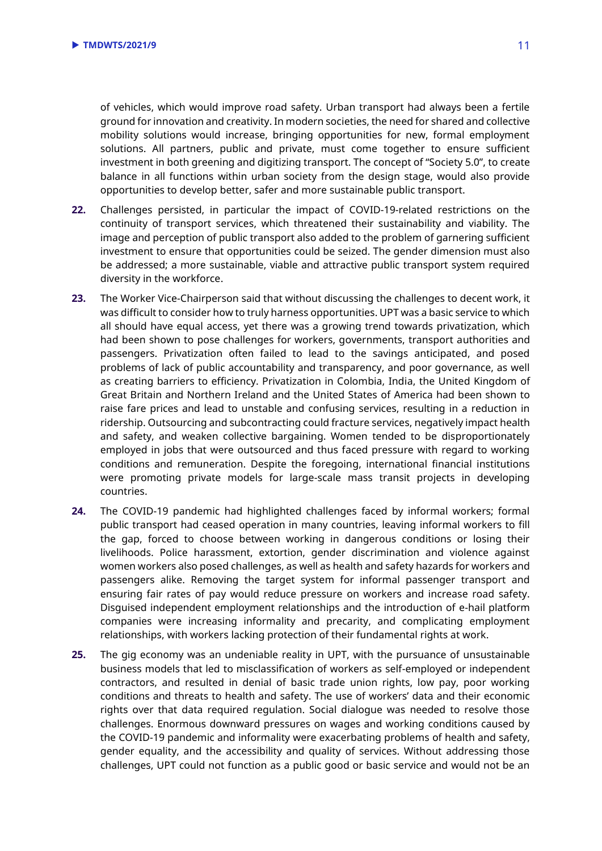of vehicles, which would improve road safety. Urban transport had always been a fertile ground for innovation and creativity. In modern societies, the need for shared and collective mobility solutions would increase, bringing opportunities for new, formal employment solutions. All partners, public and private, must come together to ensure sufficient investment in both greening and digitizing transport. The concept of "Society 5.0", to create balance in all functions within urban society from the design stage, would also provide opportunities to develop better, safer and more sustainable public transport.

- **22.** Challenges persisted, in particular the impact of COVID-19-related restrictions on the continuity of transport services, which threatened their sustainability and viability. The image and perception of public transport also added to the problem of garnering sufficient investment to ensure that opportunities could be seized. The gender dimension must also be addressed; a more sustainable, viable and attractive public transport system required diversity in the workforce.
- **23.** The Worker Vice-Chairperson said that without discussing the challenges to decent work, it was difficult to consider how to truly harness opportunities. UPT was a basic service to which all should have equal access, yet there was a growing trend towards privatization, which had been shown to pose challenges for workers, governments, transport authorities and passengers. Privatization often failed to lead to the savings anticipated, and posed problems of lack of public accountability and transparency, and poor governance, as well as creating barriers to efficiency. Privatization in Colombia, India, the United Kingdom of Great Britain and Northern Ireland and the United States of America had been shown to raise fare prices and lead to unstable and confusing services, resulting in a reduction in ridership. Outsourcing and subcontracting could fracture services, negatively impact health and safety, and weaken collective bargaining. Women tended to be disproportionately employed in jobs that were outsourced and thus faced pressure with regard to working conditions and remuneration. Despite the foregoing, international financial institutions were promoting private models for large-scale mass transit projects in developing countries.
- **24.** The COVID-19 pandemic had highlighted challenges faced by informal workers; formal public transport had ceased operation in many countries, leaving informal workers to fill the gap, forced to choose between working in dangerous conditions or losing their livelihoods. Police harassment, extortion, gender discrimination and violence against women workers also posed challenges, as well as health and safety hazards for workers and passengers alike. Removing the target system for informal passenger transport and ensuring fair rates of pay would reduce pressure on workers and increase road safety. Disguised independent employment relationships and the introduction of e-hail platform companies were increasing informality and precarity, and complicating employment relationships, with workers lacking protection of their fundamental rights at work.
- **25.** The gig economy was an undeniable reality in UPT, with the pursuance of unsustainable business models that led to misclassification of workers as self-employed or independent contractors, and resulted in denial of basic trade union rights, low pay, poor working conditions and threats to health and safety. The use of workers' data and their economic rights over that data required regulation. Social dialogue was needed to resolve those challenges. Enormous downward pressures on wages and working conditions caused by the COVID-19 pandemic and informality were exacerbating problems of health and safety, gender equality, and the accessibility and quality of services. Without addressing those challenges, UPT could not function as a public good or basic service and would not be an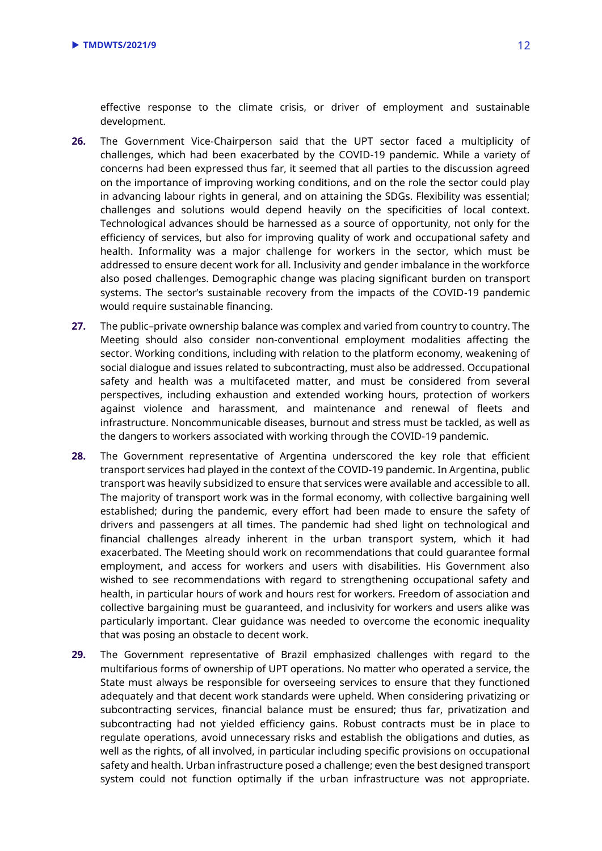effective response to the climate crisis, or driver of employment and sustainable development.

- **26.** The Government Vice-Chairperson said that the UPT sector faced a multiplicity of challenges, which had been exacerbated by the COVID-19 pandemic. While a variety of concerns had been expressed thus far, it seemed that all parties to the discussion agreed on the importance of improving working conditions, and on the role the sector could play in advancing labour rights in general, and on attaining the SDGs. Flexibility was essential; challenges and solutions would depend heavily on the specificities of local context. Technological advances should be harnessed as a source of opportunity, not only for the efficiency of services, but also for improving quality of work and occupational safety and health. Informality was a major challenge for workers in the sector, which must be addressed to ensure decent work for all. Inclusivity and gender imbalance in the workforce also posed challenges. Demographic change was placing significant burden on transport systems. The sector's sustainable recovery from the impacts of the COVID-19 pandemic would require sustainable financing.
- **27.** The public–private ownership balance was complex and varied from country to country. The Meeting should also consider non-conventional employment modalities affecting the sector. Working conditions, including with relation to the platform economy, weakening of social dialogue and issues related to subcontracting, must also be addressed. Occupational safety and health was a multifaceted matter, and must be considered from several perspectives, including exhaustion and extended working hours, protection of workers against violence and harassment, and maintenance and renewal of fleets and infrastructure. Noncommunicable diseases, burnout and stress must be tackled, as well as the dangers to workers associated with working through the COVID-19 pandemic.
- **28.** The Government representative of Argentina underscored the key role that efficient transport services had played in the context of the COVID-19 pandemic. In Argentina, public transport was heavily subsidized to ensure that services were available and accessible to all. The majority of transport work was in the formal economy, with collective bargaining well established; during the pandemic, every effort had been made to ensure the safety of drivers and passengers at all times. The pandemic had shed light on technological and financial challenges already inherent in the urban transport system, which it had exacerbated. The Meeting should work on recommendations that could guarantee formal employment, and access for workers and users with disabilities. His Government also wished to see recommendations with regard to strengthening occupational safety and health, in particular hours of work and hours rest for workers. Freedom of association and collective bargaining must be guaranteed, and inclusivity for workers and users alike was particularly important. Clear guidance was needed to overcome the economic inequality that was posing an obstacle to decent work.
- **29.** The Government representative of Brazil emphasized challenges with regard to the multifarious forms of ownership of UPT operations. No matter who operated a service, the State must always be responsible for overseeing services to ensure that they functioned adequately and that decent work standards were upheld. When considering privatizing or subcontracting services, financial balance must be ensured; thus far, privatization and subcontracting had not yielded efficiency gains. Robust contracts must be in place to regulate operations, avoid unnecessary risks and establish the obligations and duties, as well as the rights, of all involved, in particular including specific provisions on occupational safety and health. Urban infrastructure posed a challenge; even the best designed transport system could not function optimally if the urban infrastructure was not appropriate.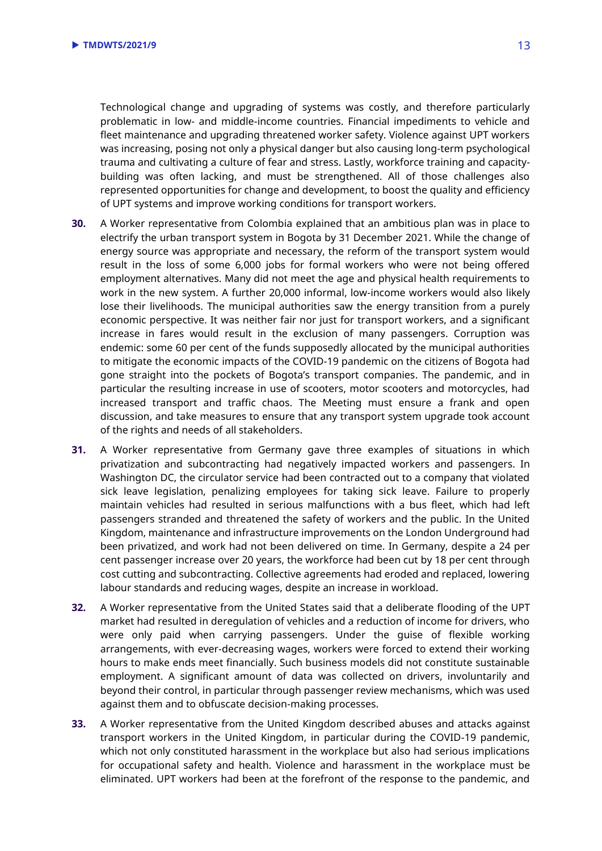Technological change and upgrading of systems was costly, and therefore particularly problematic in low- and middle-income countries. Financial impediments to vehicle and fleet maintenance and upgrading threatened worker safety. Violence against UPT workers was increasing, posing not only a physical danger but also causing long-term psychological trauma and cultivating a culture of fear and stress. Lastly, workforce training and capacitybuilding was often lacking, and must be strengthened. All of those challenges also represented opportunities for change and development, to boost the quality and efficiency of UPT systems and improve working conditions for transport workers.

- **30.** A Worker representative from Colombia explained that an ambitious plan was in place to electrify the urban transport system in Bogota by 31 December 2021. While the change of energy source was appropriate and necessary, the reform of the transport system would result in the loss of some 6,000 jobs for formal workers who were not being offered employment alternatives. Many did not meet the age and physical health requirements to work in the new system. A further 20,000 informal, low-income workers would also likely lose their livelihoods. The municipal authorities saw the energy transition from a purely economic perspective. It was neither fair nor just for transport workers, and a significant increase in fares would result in the exclusion of many passengers. Corruption was endemic: some 60 per cent of the funds supposedly allocated by the municipal authorities to mitigate the economic impacts of the COVID-19 pandemic on the citizens of Bogota had gone straight into the pockets of Bogota's transport companies. The pandemic, and in particular the resulting increase in use of scooters, motor scooters and motorcycles, had increased transport and traffic chaos. The Meeting must ensure a frank and open discussion, and take measures to ensure that any transport system upgrade took account of the rights and needs of all stakeholders.
- **31.** A Worker representative from Germany gave three examples of situations in which privatization and subcontracting had negatively impacted workers and passengers. In Washington DC, the circulator service had been contracted out to a company that violated sick leave legislation, penalizing employees for taking sick leave. Failure to properly maintain vehicles had resulted in serious malfunctions with a bus fleet, which had left passengers stranded and threatened the safety of workers and the public. In the United Kingdom, maintenance and infrastructure improvements on the London Underground had been privatized, and work had not been delivered on time. In Germany, despite a 24 per cent passenger increase over 20 years, the workforce had been cut by 18 per cent through cost cutting and subcontracting. Collective agreements had eroded and replaced, lowering labour standards and reducing wages, despite an increase in workload.
- **32.** A Worker representative from the United States said that a deliberate flooding of the UPT market had resulted in deregulation of vehicles and a reduction of income for drivers, who were only paid when carrying passengers. Under the guise of flexible working arrangements, with ever-decreasing wages, workers were forced to extend their working hours to make ends meet financially. Such business models did not constitute sustainable employment. A significant amount of data was collected on drivers, involuntarily and beyond their control, in particular through passenger review mechanisms, which was used against them and to obfuscate decision-making processes.
- **33.** A Worker representative from the United Kingdom described abuses and attacks against transport workers in the United Kingdom, in particular during the COVID-19 pandemic, which not only constituted harassment in the workplace but also had serious implications for occupational safety and health. Violence and harassment in the workplace must be eliminated. UPT workers had been at the forefront of the response to the pandemic, and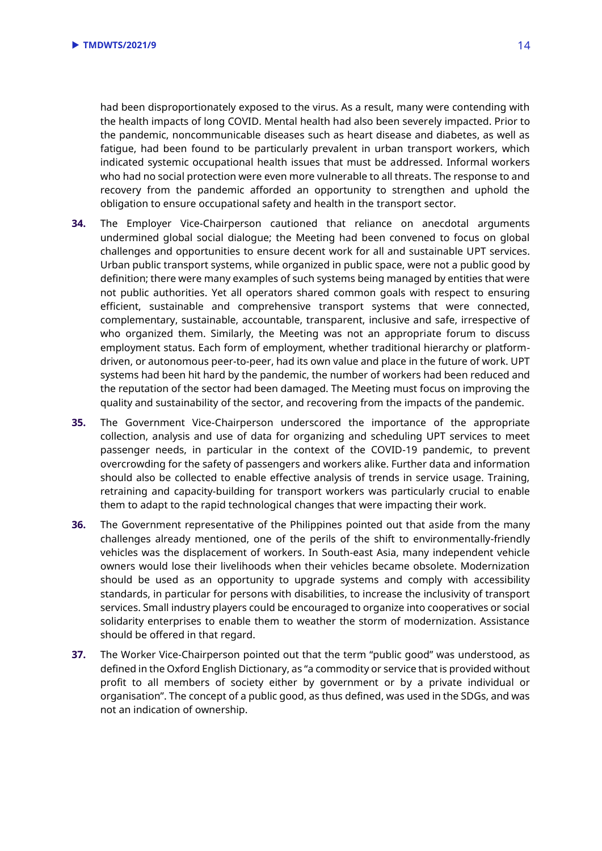had been disproportionately exposed to the virus. As a result, many were contending with the health impacts of long COVID. Mental health had also been severely impacted. Prior to the pandemic, noncommunicable diseases such as heart disease and diabetes, as well as fatigue, had been found to be particularly prevalent in urban transport workers, which indicated systemic occupational health issues that must be addressed. Informal workers who had no social protection were even more vulnerable to all threats. The response to and recovery from the pandemic afforded an opportunity to strengthen and uphold the obligation to ensure occupational safety and health in the transport sector.

- **34.** The Employer Vice-Chairperson cautioned that reliance on anecdotal arguments undermined global social dialogue; the Meeting had been convened to focus on global challenges and opportunities to ensure decent work for all and sustainable UPT services. Urban public transport systems, while organized in public space, were not a public good by definition; there were many examples of such systems being managed by entities that were not public authorities. Yet all operators shared common goals with respect to ensuring efficient, sustainable and comprehensive transport systems that were connected, complementary, sustainable, accountable, transparent, inclusive and safe, irrespective of who organized them. Similarly, the Meeting was not an appropriate forum to discuss employment status. Each form of employment, whether traditional hierarchy or platformdriven, or autonomous peer-to-peer, had its own value and place in the future of work. UPT systems had been hit hard by the pandemic, the number of workers had been reduced and the reputation of the sector had been damaged. The Meeting must focus on improving the quality and sustainability of the sector, and recovering from the impacts of the pandemic.
- **35.** The Government Vice-Chairperson underscored the importance of the appropriate collection, analysis and use of data for organizing and scheduling UPT services to meet passenger needs, in particular in the context of the COVID-19 pandemic, to prevent overcrowding for the safety of passengers and workers alike. Further data and information should also be collected to enable effective analysis of trends in service usage. Training, retraining and capacity-building for transport workers was particularly crucial to enable them to adapt to the rapid technological changes that were impacting their work.
- **36.** The Government representative of the Philippines pointed out that aside from the many challenges already mentioned, one of the perils of the shift to environmentally-friendly vehicles was the displacement of workers. In South-east Asia, many independent vehicle owners would lose their livelihoods when their vehicles became obsolete. Modernization should be used as an opportunity to upgrade systems and comply with accessibility standards, in particular for persons with disabilities, to increase the inclusivity of transport services. Small industry players could be encouraged to organize into cooperatives or social solidarity enterprises to enable them to weather the storm of modernization. Assistance should be offered in that regard.
- **37.** The Worker Vice-Chairperson pointed out that the term "public good" was understood, as defined in the Oxford English Dictionary, as "a commodity or service that is provided without profit to all members of society either by government or by a private individual or organisation". The concept of a public good, as thus defined, was used in the SDGs, and was not an indication of ownership.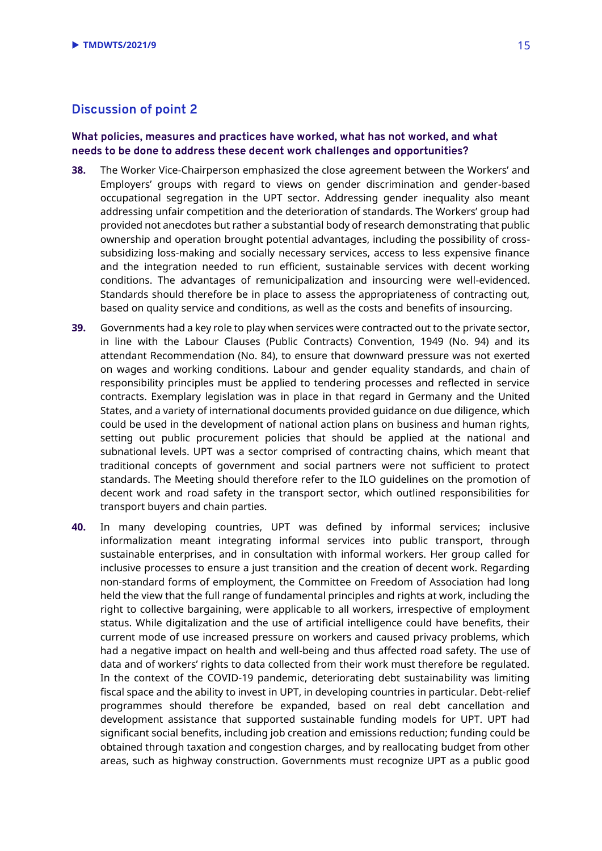## <span id="page-14-0"></span>**Discussion of point 2**

#### **What policies, measures and practices have worked, what has not worked, and what needs to be done to address these decent work challenges and opportunities?**

- **38.** The Worker Vice-Chairperson emphasized the close agreement between the Workers' and Employers' groups with regard to views on gender discrimination and gender-based occupational segregation in the UPT sector. Addressing gender inequality also meant addressing unfair competition and the deterioration of standards. The Workers' group had provided not anecdotes but rather a substantial body of research demonstrating that public ownership and operation brought potential advantages, including the possibility of crosssubsidizing loss-making and socially necessary services, access to less expensive finance and the integration needed to run efficient, sustainable services with decent working conditions. The advantages of remunicipalization and insourcing were well-evidenced. Standards should therefore be in place to assess the appropriateness of contracting out, based on quality service and conditions, as well as the costs and benefits of insourcing.
- **39.** Governments had a key role to play when services were contracted out to the private sector, in line with the Labour Clauses (Public Contracts) Convention, 1949 (No. 94) and its attendant Recommendation (No. 84), to ensure that downward pressure was not exerted on wages and working conditions. Labour and gender equality standards, and chain of responsibility principles must be applied to tendering processes and reflected in service contracts. Exemplary legislation was in place in that regard in Germany and the United States, and a variety of international documents provided guidance on due diligence, which could be used in the development of national action plans on business and human rights, setting out public procurement policies that should be applied at the national and subnational levels. UPT was a sector comprised of contracting chains, which meant that traditional concepts of government and social partners were not sufficient to protect standards. The Meeting should therefore refer to the ILO guidelines on the promotion of decent work and road safety in the transport sector, which outlined responsibilities for transport buyers and chain parties.
- **40.** In many developing countries, UPT was defined by informal services; inclusive informalization meant integrating informal services into public transport, through sustainable enterprises, and in consultation with informal workers. Her group called for inclusive processes to ensure a just transition and the creation of decent work. Regarding non-standard forms of employment, the Committee on Freedom of Association had long held the view that the full range of fundamental principles and rights at work, including the right to collective bargaining, were applicable to all workers, irrespective of employment status. While digitalization and the use of artificial intelligence could have benefits, their current mode of use increased pressure on workers and caused privacy problems, which had a negative impact on health and well-being and thus affected road safety. The use of data and of workers' rights to data collected from their work must therefore be regulated. In the context of the COVID-19 pandemic, deteriorating debt sustainability was limiting fiscal space and the ability to invest in UPT, in developing countries in particular. Debt-relief programmes should therefore be expanded, based on real debt cancellation and development assistance that supported sustainable funding models for UPT. UPT had significant social benefits, including job creation and emissions reduction; funding could be obtained through taxation and congestion charges, and by reallocating budget from other areas, such as highway construction. Governments must recognize UPT as a public good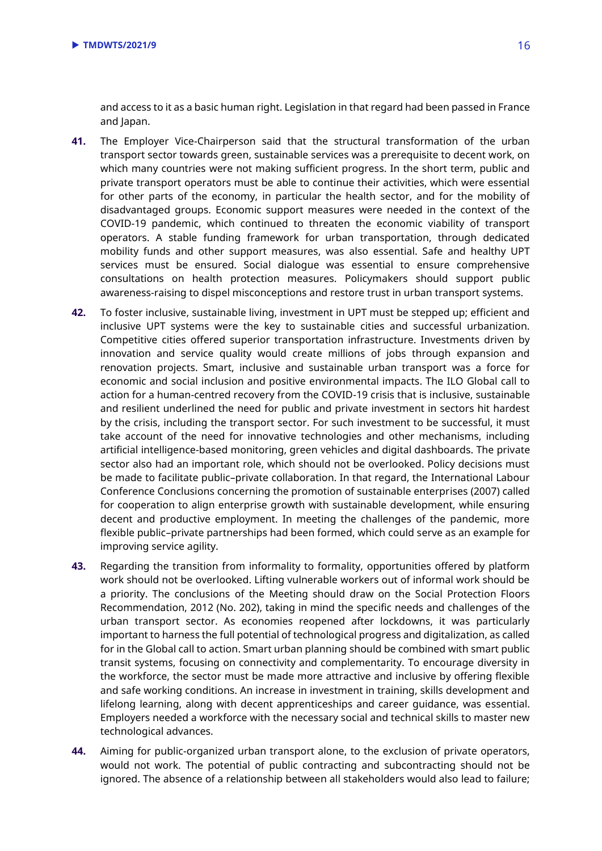and access to it as a basic human right. Legislation in that regard had been passed in France and Japan.

- **41.** The Employer Vice-Chairperson said that the structural transformation of the urban transport sector towards green, sustainable services was a prerequisite to decent work, on which many countries were not making sufficient progress. In the short term, public and private transport operators must be able to continue their activities, which were essential for other parts of the economy, in particular the health sector, and for the mobility of disadvantaged groups. Economic support measures were needed in the context of the COVID-19 pandemic, which continued to threaten the economic viability of transport operators. A stable funding framework for urban transportation, through dedicated mobility funds and other support measures, was also essential. Safe and healthy UPT services must be ensured. Social dialogue was essential to ensure comprehensive consultations on health protection measures. Policymakers should support public awareness-raising to dispel misconceptions and restore trust in urban transport systems.
- **42.** To foster inclusive, sustainable living, investment in UPT must be stepped up; efficient and inclusive UPT systems were the key to sustainable cities and successful urbanization. Competitive cities offered superior transportation infrastructure. Investments driven by innovation and service quality would create millions of jobs through expansion and renovation projects. Smart, inclusive and sustainable urban transport was a force for economic and social inclusion and positive environmental impacts. The ILO Global call to action for a human-centred recovery from the COVID-19 crisis that is inclusive, sustainable and resilient underlined the need for public and private investment in sectors hit hardest by the crisis, including the transport sector. For such investment to be successful, it must take account of the need for innovative technologies and other mechanisms, including artificial intelligence-based monitoring, green vehicles and digital dashboards. The private sector also had an important role, which should not be overlooked. Policy decisions must be made to facilitate public–private collaboration. In that regard, the International Labour Conference Conclusions concerning the promotion of sustainable enterprises (2007) called for cooperation to align enterprise growth with sustainable development, while ensuring decent and productive employment. In meeting the challenges of the pandemic, more flexible public–private partnerships had been formed, which could serve as an example for improving service agility.
- **43.** Regarding the transition from informality to formality, opportunities offered by platform work should not be overlooked. Lifting vulnerable workers out of informal work should be a priority. The conclusions of the Meeting should draw on the Social Protection Floors Recommendation, 2012 (No. 202), taking in mind the specific needs and challenges of the urban transport sector. As economies reopened after lockdowns, it was particularly important to harness the full potential of technological progress and digitalization, as called for in the Global call to action. Smart urban planning should be combined with smart public transit systems, focusing on connectivity and complementarity. To encourage diversity in the workforce, the sector must be made more attractive and inclusive by offering flexible and safe working conditions. An increase in investment in training, skills development and lifelong learning, along with decent apprenticeships and career guidance, was essential. Employers needed a workforce with the necessary social and technical skills to master new technological advances.
- **44.** Aiming for public-organized urban transport alone, to the exclusion of private operators, would not work. The potential of public contracting and subcontracting should not be ignored. The absence of a relationship between all stakeholders would also lead to failure;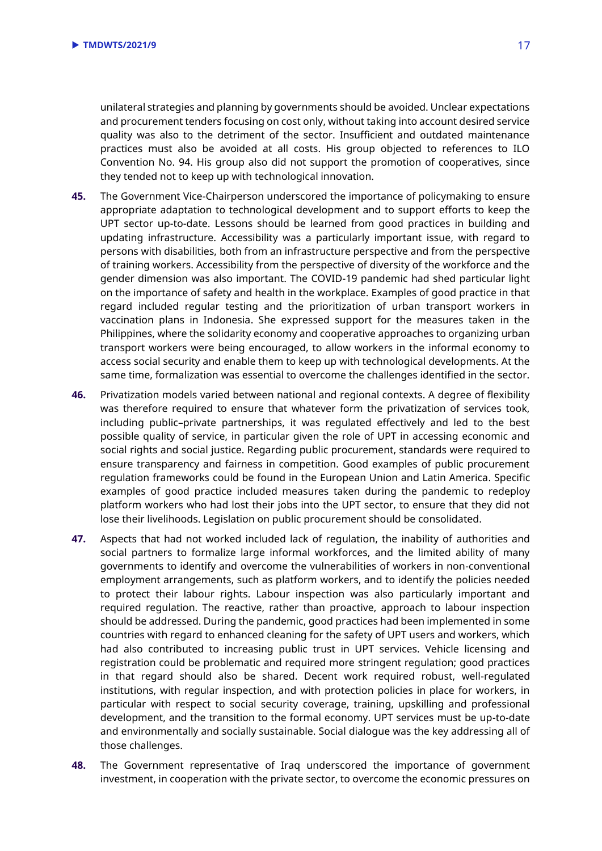unilateral strategies and planning by governments should be avoided. Unclear expectations and procurement tenders focusing on cost only, without taking into account desired service quality was also to the detriment of the sector. Insufficient and outdated maintenance practices must also be avoided at all costs. His group objected to references to ILO Convention No. 94. His group also did not support the promotion of cooperatives, since they tended not to keep up with technological innovation.

- **45.** The Government Vice-Chairperson underscored the importance of policymaking to ensure appropriate adaptation to technological development and to support efforts to keep the UPT sector up-to-date. Lessons should be learned from good practices in building and updating infrastructure. Accessibility was a particularly important issue, with regard to persons with disabilities, both from an infrastructure perspective and from the perspective of training workers. Accessibility from the perspective of diversity of the workforce and the gender dimension was also important. The COVID-19 pandemic had shed particular light on the importance of safety and health in the workplace. Examples of good practice in that regard included regular testing and the prioritization of urban transport workers in vaccination plans in Indonesia. She expressed support for the measures taken in the Philippines, where the solidarity economy and cooperative approaches to organizing urban transport workers were being encouraged, to allow workers in the informal economy to access social security and enable them to keep up with technological developments. At the same time, formalization was essential to overcome the challenges identified in the sector.
- **46.** Privatization models varied between national and regional contexts. A degree of flexibility was therefore required to ensure that whatever form the privatization of services took, including public–private partnerships, it was regulated effectively and led to the best possible quality of service, in particular given the role of UPT in accessing economic and social rights and social justice. Regarding public procurement, standards were required to ensure transparency and fairness in competition. Good examples of public procurement regulation frameworks could be found in the European Union and Latin America. Specific examples of good practice included measures taken during the pandemic to redeploy platform workers who had lost their jobs into the UPT sector, to ensure that they did not lose their livelihoods. Legislation on public procurement should be consolidated.
- **47.** Aspects that had not worked included lack of regulation, the inability of authorities and social partners to formalize large informal workforces, and the limited ability of many governments to identify and overcome the vulnerabilities of workers in non-conventional employment arrangements, such as platform workers, and to identify the policies needed to protect their labour rights. Labour inspection was also particularly important and required regulation. The reactive, rather than proactive, approach to labour inspection should be addressed. During the pandemic, good practices had been implemented in some countries with regard to enhanced cleaning for the safety of UPT users and workers, which had also contributed to increasing public trust in UPT services. Vehicle licensing and registration could be problematic and required more stringent regulation; good practices in that regard should also be shared. Decent work required robust, well-regulated institutions, with regular inspection, and with protection policies in place for workers, in particular with respect to social security coverage, training, upskilling and professional development, and the transition to the formal economy. UPT services must be up-to-date and environmentally and socially sustainable. Social dialogue was the key addressing all of those challenges.
- **48.** The Government representative of Iraq underscored the importance of government investment, in cooperation with the private sector, to overcome the economic pressures on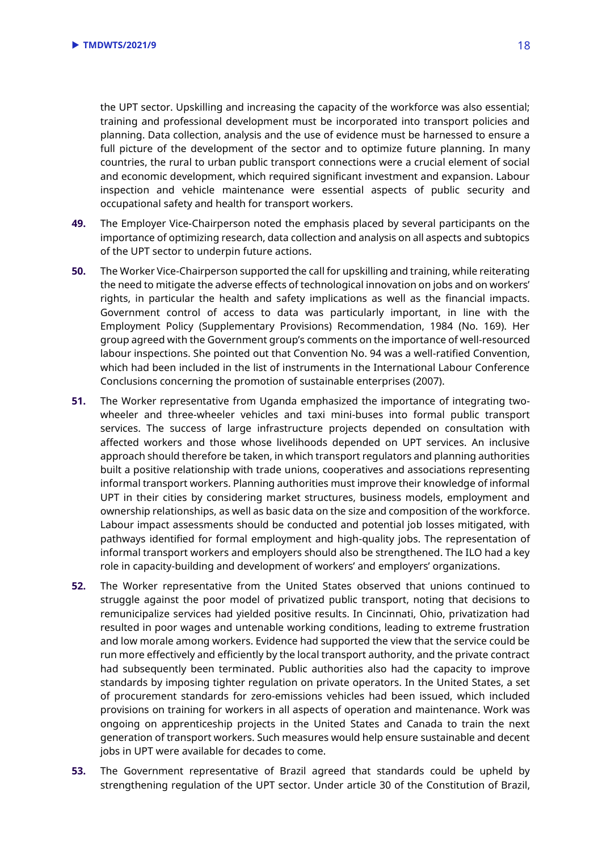the UPT sector. Upskilling and increasing the capacity of the workforce was also essential; training and professional development must be incorporated into transport policies and planning. Data collection, analysis and the use of evidence must be harnessed to ensure a full picture of the development of the sector and to optimize future planning. In many countries, the rural to urban public transport connections were a crucial element of social and economic development, which required significant investment and expansion. Labour inspection and vehicle maintenance were essential aspects of public security and occupational safety and health for transport workers.

- **49.** The Employer Vice-Chairperson noted the emphasis placed by several participants on the importance of optimizing research, data collection and analysis on all aspects and subtopics of the UPT sector to underpin future actions.
- **50.** The Worker Vice-Chairperson supported the call for upskilling and training, while reiterating the need to mitigate the adverse effects of technological innovation on jobs and on workers' rights, in particular the health and safety implications as well as the financial impacts. Government control of access to data was particularly important, in line with the Employment Policy (Supplementary Provisions) Recommendation, 1984 (No. 169). Her group agreed with the Government group's comments on the importance of well-resourced labour inspections. She pointed out that Convention No. 94 was a well-ratified Convention, which had been included in the list of instruments in the International Labour Conference Conclusions concerning the promotion of sustainable enterprises (2007).
- **51.** The Worker representative from Uganda emphasized the importance of integrating twowheeler and three-wheeler vehicles and taxi mini-buses into formal public transport services. The success of large infrastructure projects depended on consultation with affected workers and those whose livelihoods depended on UPT services. An inclusive approach should therefore be taken, in which transport regulators and planning authorities built a positive relationship with trade unions, cooperatives and associations representing informal transport workers. Planning authorities must improve their knowledge of informal UPT in their cities by considering market structures, business models, employment and ownership relationships, as well as basic data on the size and composition of the workforce. Labour impact assessments should be conducted and potential job losses mitigated, with pathways identified for formal employment and high-quality jobs. The representation of informal transport workers and employers should also be strengthened. The ILO had a key role in capacity-building and development of workers' and employers' organizations.
- **52.** The Worker representative from the United States observed that unions continued to struggle against the poor model of privatized public transport, noting that decisions to remunicipalize services had yielded positive results. In Cincinnati, Ohio, privatization had resulted in poor wages and untenable working conditions, leading to extreme frustration and low morale among workers. Evidence had supported the view that the service could be run more effectively and efficiently by the local transport authority, and the private contract had subsequently been terminated. Public authorities also had the capacity to improve standards by imposing tighter regulation on private operators. In the United States, a set of procurement standards for zero-emissions vehicles had been issued, which included provisions on training for workers in all aspects of operation and maintenance. Work was ongoing on apprenticeship projects in the United States and Canada to train the next generation of transport workers. Such measures would help ensure sustainable and decent jobs in UPT were available for decades to come.
- **53.** The Government representative of Brazil agreed that standards could be upheld by strengthening regulation of the UPT sector. Under article 30 of the Constitution of Brazil,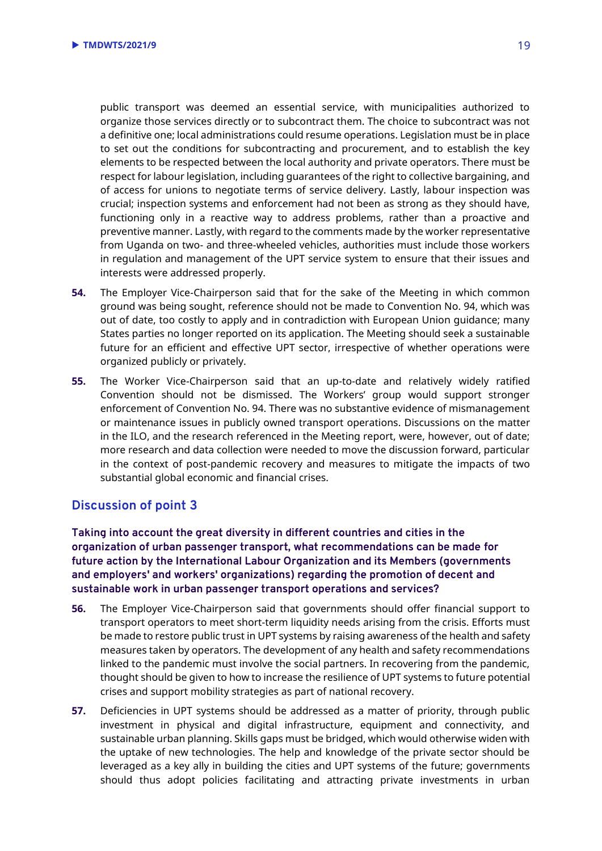public transport was deemed an essential service, with municipalities authorized to organize those services directly or to subcontract them. The choice to subcontract was not a definitive one; local administrations could resume operations. Legislation must be in place to set out the conditions for subcontracting and procurement, and to establish the key elements to be respected between the local authority and private operators. There must be respect for labour legislation, including guarantees of the right to collective bargaining, and of access for unions to negotiate terms of service delivery. Lastly, labour inspection was crucial; inspection systems and enforcement had not been as strong as they should have, functioning only in a reactive way to address problems, rather than a proactive and preventive manner. Lastly, with regard to the comments made by the worker representative from Uganda on two- and three-wheeled vehicles, authorities must include those workers in regulation and management of the UPT service system to ensure that their issues and interests were addressed properly.

- **54.** The Employer Vice-Chairperson said that for the sake of the Meeting in which common ground was being sought, reference should not be made to Convention No. 94, which was out of date, too costly to apply and in contradiction with European Union guidance; many States parties no longer reported on its application. The Meeting should seek a sustainable future for an efficient and effective UPT sector, irrespective of whether operations were organized publicly or privately.
- **55.** The Worker Vice-Chairperson said that an up-to-date and relatively widely ratified Convention should not be dismissed. The Workers' group would support stronger enforcement of Convention No. 94. There was no substantive evidence of mismanagement or maintenance issues in publicly owned transport operations. Discussions on the matter in the ILO, and the research referenced in the Meeting report, were, however, out of date; more research and data collection were needed to move the discussion forward, particular in the context of post-pandemic recovery and measures to mitigate the impacts of two substantial global economic and financial crises.

## <span id="page-18-0"></span>**Discussion of point 3**

**Taking into account the great diversity in different countries and cities in the organization of urban passenger transport, what recommendations can be made for future action by the International Labour Organization and its Members (governments and employers' and workers' organizations) regarding the promotion of decent and sustainable work in urban passenger transport operations and services?**

- **56.** The Employer Vice-Chairperson said that governments should offer financial support to transport operators to meet short-term liquidity needs arising from the crisis. Efforts must be made to restore public trust in UPT systems by raising awareness of the health and safety measures taken by operators. The development of any health and safety recommendations linked to the pandemic must involve the social partners. In recovering from the pandemic, thought should be given to how to increase the resilience of UPT systems to future potential crises and support mobility strategies as part of national recovery.
- **57.** Deficiencies in UPT systems should be addressed as a matter of priority, through public investment in physical and digital infrastructure, equipment and connectivity, and sustainable urban planning. Skills gaps must be bridged, which would otherwise widen with the uptake of new technologies. The help and knowledge of the private sector should be leveraged as a key ally in building the cities and UPT systems of the future; governments should thus adopt policies facilitating and attracting private investments in urban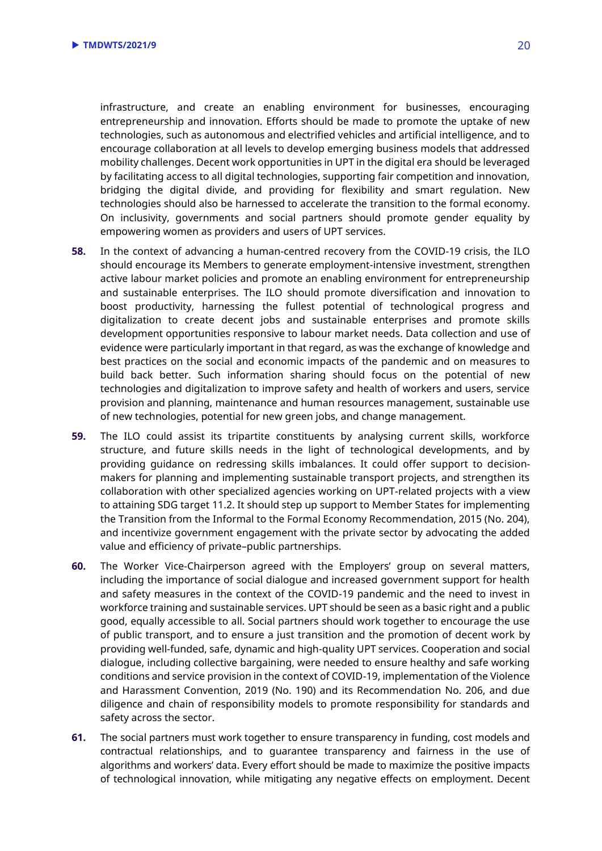infrastructure, and create an enabling environment for businesses, encouraging entrepreneurship and innovation. Efforts should be made to promote the uptake of new technologies, such as autonomous and electrified vehicles and artificial intelligence, and to encourage collaboration at all levels to develop emerging business models that addressed mobility challenges. Decent work opportunities in UPT in the digital era should be leveraged by facilitating access to all digital technologies, supporting fair competition and innovation, bridging the digital divide, and providing for flexibility and smart regulation. New technologies should also be harnessed to accelerate the transition to the formal economy. On inclusivity, governments and social partners should promote gender equality by empowering women as providers and users of UPT services.

- **58.** In the context of advancing a human-centred recovery from the COVID-19 crisis, the ILO should encourage its Members to generate employment-intensive investment, strengthen active labour market policies and promote an enabling environment for entrepreneurship and sustainable enterprises. The ILO should promote diversification and innovation to boost productivity, harnessing the fullest potential of technological progress and digitalization to create decent jobs and sustainable enterprises and promote skills development opportunities responsive to labour market needs. Data collection and use of evidence were particularly important in that regard, as was the exchange of knowledge and best practices on the social and economic impacts of the pandemic and on measures to build back better. Such information sharing should focus on the potential of new technologies and digitalization to improve safety and health of workers and users, service provision and planning, maintenance and human resources management, sustainable use of new technologies, potential for new green jobs, and change management.
- **59.** The ILO could assist its tripartite constituents by analysing current skills, workforce structure, and future skills needs in the light of technological developments, and by providing guidance on redressing skills imbalances. It could offer support to decisionmakers for planning and implementing sustainable transport projects, and strengthen its collaboration with other specialized agencies working on UPT-related projects with a view to attaining SDG target 11.2. It should step up support to Member States for implementing the Transition from the Informal to the Formal Economy Recommendation, 2015 (No. 204), and incentivize government engagement with the private sector by advocating the added value and efficiency of private–public partnerships.
- **60.** The Worker Vice-Chairperson agreed with the Employers' group on several matters, including the importance of social dialogue and increased government support for health and safety measures in the context of the COVID-19 pandemic and the need to invest in workforce training and sustainable services. UPT should be seen as a basic right and a public good, equally accessible to all. Social partners should work together to encourage the use of public transport, and to ensure a just transition and the promotion of decent work by providing well-funded, safe, dynamic and high-quality UPT services. Cooperation and social dialogue, including collective bargaining, were needed to ensure healthy and safe working conditions and service provision in the context of COVID-19, implementation of the Violence and Harassment Convention, 2019 (No. 190) and its Recommendation No. 206, and due diligence and chain of responsibility models to promote responsibility for standards and safety across the sector.
- **61.** The social partners must work together to ensure transparency in funding, cost models and contractual relationships, and to guarantee transparency and fairness in the use of algorithms and workers' data. Every effort should be made to maximize the positive impacts of technological innovation, while mitigating any negative effects on employment. Decent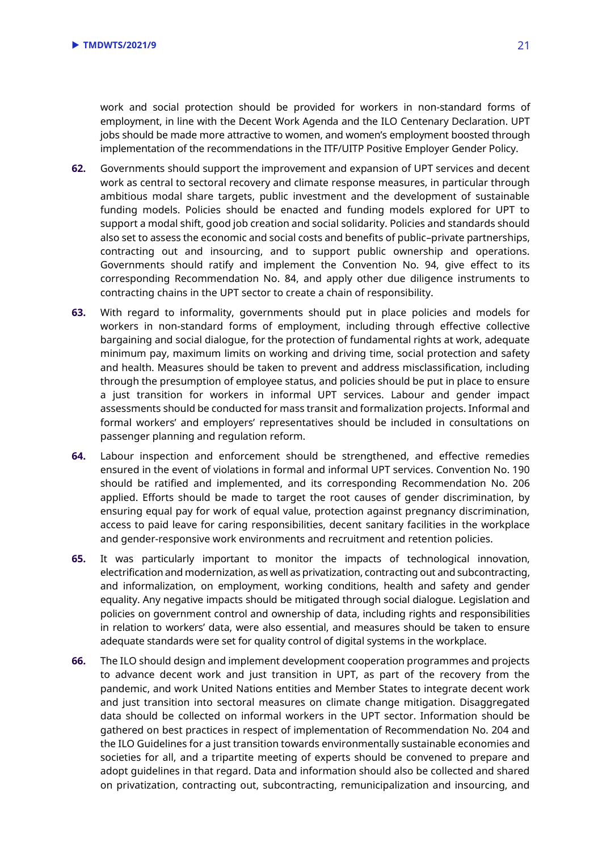work and social protection should be provided for workers in non-standard forms of employment, in line with the Decent Work Agenda and the ILO Centenary Declaration. UPT jobs should be made more attractive to women, and women's employment boosted through implementation of the recommendations in the ITF/UITP Positive Employer Gender Policy.

- **62.** Governments should support the improvement and expansion of UPT services and decent work as central to sectoral recovery and climate response measures, in particular through ambitious modal share targets, public investment and the development of sustainable funding models. Policies should be enacted and funding models explored for UPT to support a modal shift, good job creation and social solidarity. Policies and standards should also set to assess the economic and social costs and benefits of public–private partnerships, contracting out and insourcing, and to support public ownership and operations. Governments should ratify and implement the Convention No. 94, give effect to its corresponding Recommendation No. 84, and apply other due diligence instruments to contracting chains in the UPT sector to create a chain of responsibility.
- **63.** With regard to informality, governments should put in place policies and models for workers in non-standard forms of employment, including through effective collective bargaining and social dialogue, for the protection of fundamental rights at work, adequate minimum pay, maximum limits on working and driving time, social protection and safety and health. Measures should be taken to prevent and address misclassification, including through the presumption of employee status, and policies should be put in place to ensure a just transition for workers in informal UPT services. Labour and gender impact assessments should be conducted for mass transit and formalization projects. Informal and formal workers' and employers' representatives should be included in consultations on passenger planning and regulation reform.
- **64.** Labour inspection and enforcement should be strengthened, and effective remedies ensured in the event of violations in formal and informal UPT services. Convention No. 190 should be ratified and implemented, and its corresponding Recommendation No. 206 applied. Efforts should be made to target the root causes of gender discrimination, by ensuring equal pay for work of equal value, protection against pregnancy discrimination, access to paid leave for caring responsibilities, decent sanitary facilities in the workplace and gender-responsive work environments and recruitment and retention policies.
- **65.** It was particularly important to monitor the impacts of technological innovation, electrification and modernization, as well as privatization, contracting out and subcontracting, and informalization, on employment, working conditions, health and safety and gender equality. Any negative impacts should be mitigated through social dialogue. Legislation and policies on government control and ownership of data, including rights and responsibilities in relation to workers' data, were also essential, and measures should be taken to ensure adequate standards were set for quality control of digital systems in the workplace.
- **66.** The ILO should design and implement development cooperation programmes and projects to advance decent work and just transition in UPT, as part of the recovery from the pandemic, and work United Nations entities and Member States to integrate decent work and just transition into sectoral measures on climate change mitigation. Disaggregated data should be collected on informal workers in the UPT sector. Information should be gathered on best practices in respect of implementation of Recommendation No. 204 and the ILO Guidelines for a just transition towards environmentally sustainable economies and societies for all, and a tripartite meeting of experts should be convened to prepare and adopt guidelines in that regard. Data and information should also be collected and shared on privatization, contracting out, subcontracting, remunicipalization and insourcing, and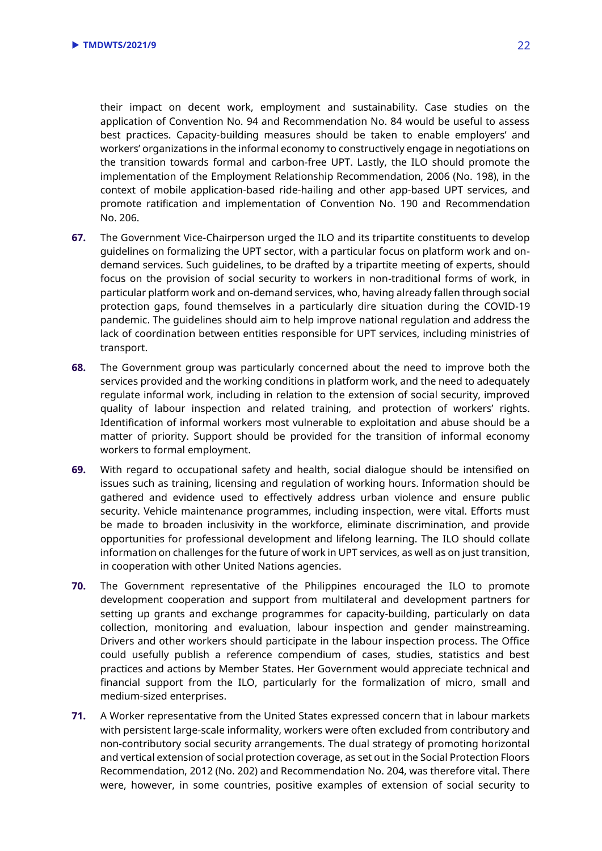their impact on decent work, employment and sustainability. Case studies on the application of Convention No. 94 and Recommendation No. 84 would be useful to assess best practices. Capacity-building measures should be taken to enable employers' and workers' organizations in the informal economy to constructively engage in negotiations on the transition towards formal and carbon-free UPT. Lastly, the ILO should promote the implementation of the Employment Relationship Recommendation, 2006 (No. 198), in the context of mobile application-based ride-hailing and other app-based UPT services, and promote ratification and implementation of Convention No. 190 and Recommendation No. 206.

- **67.** The Government Vice-Chairperson urged the ILO and its tripartite constituents to develop guidelines on formalizing the UPT sector, with a particular focus on platform work and ondemand services. Such guidelines, to be drafted by a tripartite meeting of experts, should focus on the provision of social security to workers in non-traditional forms of work, in particular platform work and on-demand services, who, having already fallen through social protection gaps, found themselves in a particularly dire situation during the COVID-19 pandemic. The guidelines should aim to help improve national regulation and address the lack of coordination between entities responsible for UPT services, including ministries of transport.
- **68.** The Government group was particularly concerned about the need to improve both the services provided and the working conditions in platform work, and the need to adequately regulate informal work, including in relation to the extension of social security, improved quality of labour inspection and related training, and protection of workers' rights. Identification of informal workers most vulnerable to exploitation and abuse should be a matter of priority. Support should be provided for the transition of informal economy workers to formal employment.
- **69.** With regard to occupational safety and health, social dialogue should be intensified on issues such as training, licensing and regulation of working hours. Information should be gathered and evidence used to effectively address urban violence and ensure public security. Vehicle maintenance programmes, including inspection, were vital. Efforts must be made to broaden inclusivity in the workforce, eliminate discrimination, and provide opportunities for professional development and lifelong learning. The ILO should collate information on challenges for the future of work in UPT services, as well as on just transition, in cooperation with other United Nations agencies.
- **70.** The Government representative of the Philippines encouraged the ILO to promote development cooperation and support from multilateral and development partners for setting up grants and exchange programmes for capacity-building, particularly on data collection, monitoring and evaluation, labour inspection and gender mainstreaming. Drivers and other workers should participate in the labour inspection process. The Office could usefully publish a reference compendium of cases, studies, statistics and best practices and actions by Member States. Her Government would appreciate technical and financial support from the ILO, particularly for the formalization of micro, small and medium-sized enterprises.
- **71.** A Worker representative from the United States expressed concern that in labour markets with persistent large-scale informality, workers were often excluded from contributory and non-contributory social security arrangements. The dual strategy of promoting horizontal and vertical extension of social protection coverage, as set out in the Social Protection Floors Recommendation, 2012 (No. 202) and Recommendation No. 204, was therefore vital. There were, however, in some countries, positive examples of extension of social security to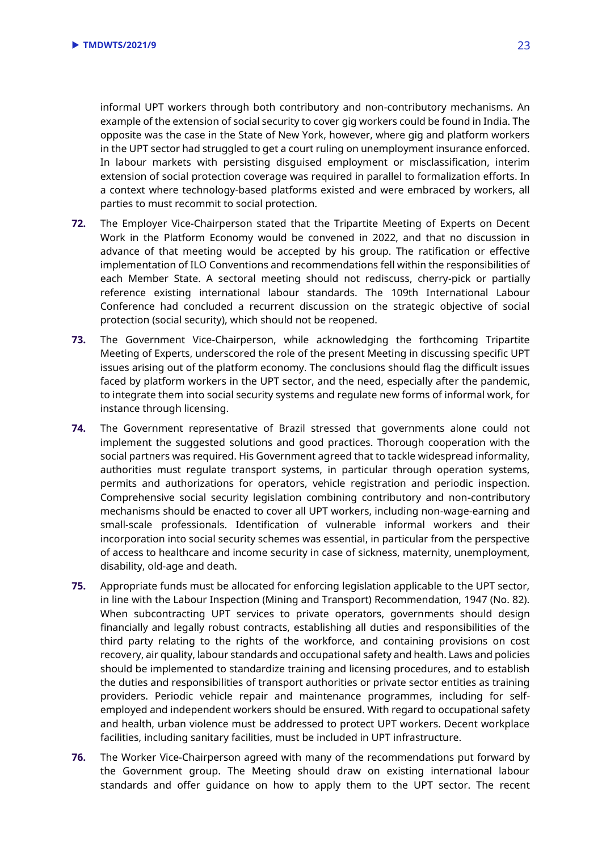informal UPT workers through both contributory and non-contributory mechanisms. An example of the extension of social security to cover gig workers could be found in India. The opposite was the case in the State of New York, however, where gig and platform workers in the UPT sector had struggled to get a court ruling on unemployment insurance enforced. In labour markets with persisting disguised employment or misclassification, interim extension of social protection coverage was required in parallel to formalization efforts. In a context where technology-based platforms existed and were embraced by workers, all parties to must recommit to social protection.

- **72.** The Employer Vice-Chairperson stated that the Tripartite Meeting of Experts on Decent Work in the Platform Economy would be convened in 2022, and that no discussion in advance of that meeting would be accepted by his group. The ratification or effective implementation of ILO Conventions and recommendations fell within the responsibilities of each Member State. A sectoral meeting should not rediscuss, cherry-pick or partially reference existing international labour standards. The 109th International Labour Conference had concluded a recurrent discussion on the strategic objective of social protection (social security), which should not be reopened.
- **73.** The Government Vice-Chairperson, while acknowledging the forthcoming Tripartite Meeting of Experts, underscored the role of the present Meeting in discussing specific UPT issues arising out of the platform economy. The conclusions should flag the difficult issues faced by platform workers in the UPT sector, and the need, especially after the pandemic, to integrate them into social security systems and regulate new forms of informal work, for instance through licensing.
- **74.** The Government representative of Brazil stressed that governments alone could not implement the suggested solutions and good practices. Thorough cooperation with the social partners was required. His Government agreed that to tackle widespread informality, authorities must regulate transport systems, in particular through operation systems, permits and authorizations for operators, vehicle registration and periodic inspection. Comprehensive social security legislation combining contributory and non-contributory mechanisms should be enacted to cover all UPT workers, including non-wage-earning and small-scale professionals. Identification of vulnerable informal workers and their incorporation into social security schemes was essential, in particular from the perspective of access to healthcare and income security in case of sickness, maternity, unemployment, disability, old-age and death.
- **75.** Appropriate funds must be allocated for enforcing legislation applicable to the UPT sector, in line with the Labour Inspection (Mining and Transport) Recommendation, 1947 (No. 82). When subcontracting UPT services to private operators, governments should design financially and legally robust contracts, establishing all duties and responsibilities of the third party relating to the rights of the workforce, and containing provisions on cost recovery, air quality, labour standards and occupational safety and health. Laws and policies should be implemented to standardize training and licensing procedures, and to establish the duties and responsibilities of transport authorities or private sector entities as training providers. Periodic vehicle repair and maintenance programmes, including for selfemployed and independent workers should be ensured. With regard to occupational safety and health, urban violence must be addressed to protect UPT workers. Decent workplace facilities, including sanitary facilities, must be included in UPT infrastructure.
- **76.** The Worker Vice-Chairperson agreed with many of the recommendations put forward by the Government group. The Meeting should draw on existing international labour standards and offer guidance on how to apply them to the UPT sector. The recent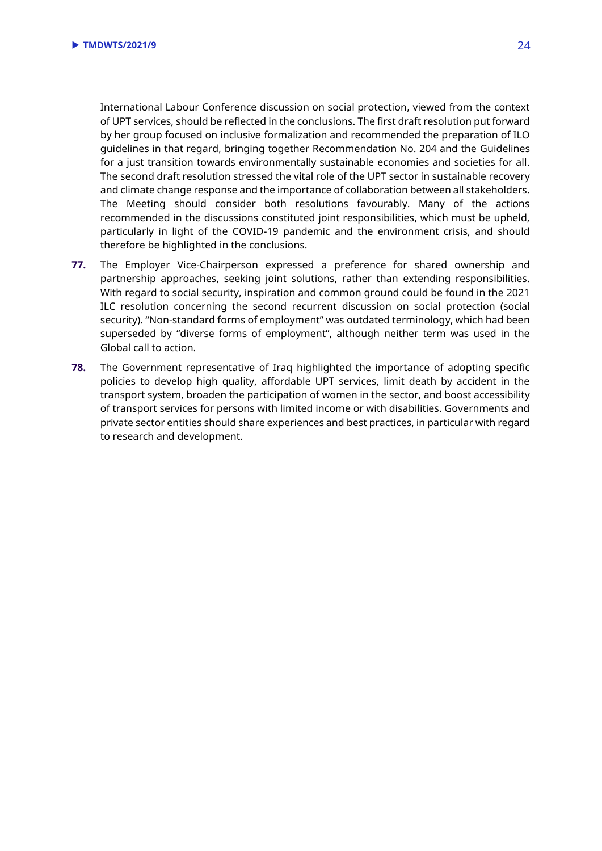International Labour Conference discussion on social protection, viewed from the context of UPT services, should be reflected in the conclusions. The first draft resolution put forward by her group focused on inclusive formalization and recommended the preparation of ILO guidelines in that regard, bringing together Recommendation No. 204 and the Guidelines for a just transition towards environmentally sustainable economies and societies for all. The second draft resolution stressed the vital role of the UPT sector in sustainable recovery and climate change response and the importance of collaboration between all stakeholders. The Meeting should consider both resolutions favourably. Many of the actions recommended in the discussions constituted joint responsibilities, which must be upheld, particularly in light of the COVID-19 pandemic and the environment crisis, and should therefore be highlighted in the conclusions.

- **77.** The Employer Vice-Chairperson expressed a preference for shared ownership and partnership approaches, seeking joint solutions, rather than extending responsibilities. With regard to social security, inspiration and common ground could be found in the 2021 ILC resolution concerning the second recurrent discussion on social protection (social security). "Non-standard forms of employment" was outdated terminology, which had been superseded by "diverse forms of employment", although neither term was used in the Global call to action.
- **78.** The Government representative of Iraq highlighted the importance of adopting specific policies to develop high quality, affordable UPT services, limit death by accident in the transport system, broaden the participation of women in the sector, and boost accessibility of transport services for persons with limited income or with disabilities. Governments and private sector entities should share experiences and best practices, in particular with regard to research and development.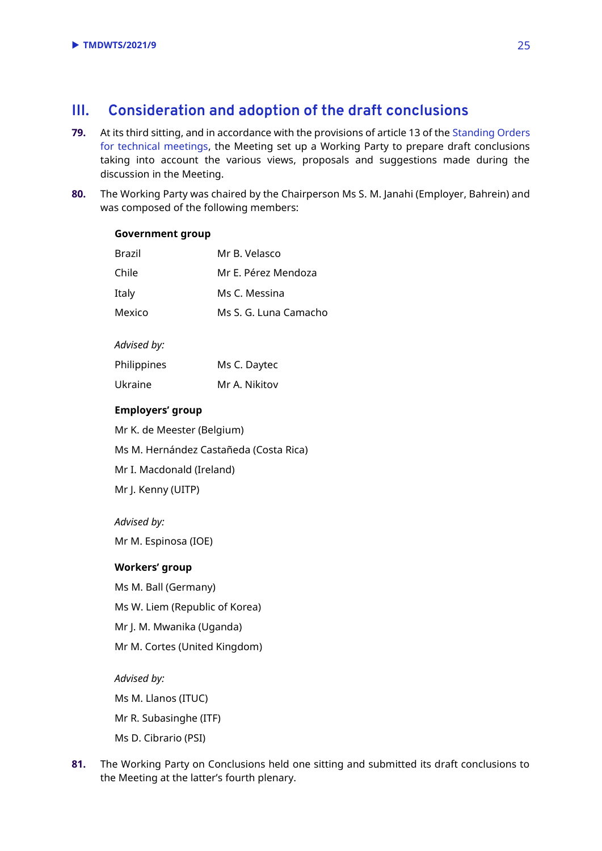## <span id="page-24-0"></span>**III. Consideration and adoption of the draft conclusions**

- **79.** At its third sitting, and in accordance with the provisions of article 13 of th[e Standing Orders](https://www.ilo.org/wcmsp5/groups/public/---dgreports/---jur/documents/genericdocument/wcms_649908.pdf)  [for technical meetings,](https://www.ilo.org/wcmsp5/groups/public/---dgreports/---jur/documents/genericdocument/wcms_649908.pdf) the Meeting set up a Working Party to prepare draft conclusions taking into account the various views, proposals and suggestions made during the discussion in the Meeting.
- **80.** The Working Party was chaired by the Chairperson Ms S. M. Janahi (Employer, Bahrein) and was composed of the following members:

#### **Government group**

| Brazil | Mr B. Velasco         |
|--------|-----------------------|
| Chile  | Mr E. Pérez Mendoza   |
| Italy  | Ms C. Messina         |
| Mexico | Ms S. G. Luna Camacho |

#### *Advised by:*

| Philippines | Ms C. Daytec  |
|-------------|---------------|
| Ukraine     | Mr A. Nikitov |

#### **Employers' group**

Mr K. de Meester (Belgium)

Ms M. Hernández Castañeda (Costa Rica)

Mr I. Macdonald (Ireland)

Mr J. Kenny (UITP)

#### *Advised by:*

Mr M. Espinosa (IOE)

#### **Workers' group**

Ms M. Ball (Germany)

Ms W. Liem (Republic of Korea)

Mr J. M. Mwanika (Uganda)

Mr M. Cortes (United Kingdom)

#### *Advised by:*

Ms M. Llanos (ITUC)

Mr R. Subasinghe (ITF)

- Ms D. Cibrario (PSI)
- **81.** The Working Party on Conclusions held one sitting and submitted its draft conclusions to the Meeting at the latter's fourth plenary.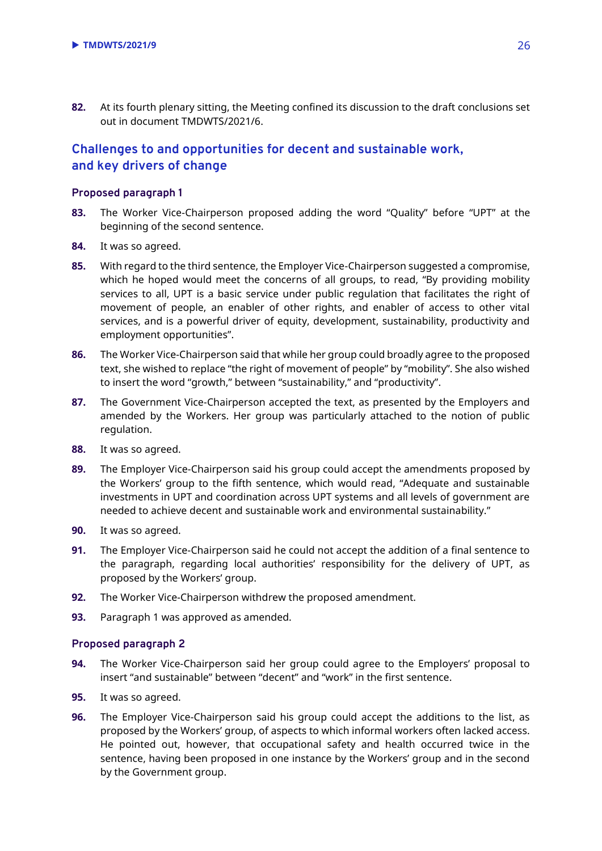**82.** At its fourth plenary sitting, the Meeting confined its discussion to the draft conclusions set out in document TMDWTS/2021/6.

## **Challenges to and opportunities for decent and sustainable work, and key drivers of change**

#### **Proposed paragraph 1**

- **83.** The Worker Vice-Chairperson proposed adding the word "Quality" before "UPT" at the beginning of the second sentence.
- **84.** It was so agreed.
- **85.** With regard to the third sentence, the Employer Vice-Chairperson suggested a compromise, which he hoped would meet the concerns of all groups, to read, "By providing mobility services to all, UPT is a basic service under public regulation that facilitates the right of movement of people, an enabler of other rights, and enabler of access to other vital services, and is a powerful driver of equity, development, sustainability, productivity and employment opportunities".
- **86.** The Worker Vice-Chairperson said that while her group could broadly agree to the proposed text, she wished to replace "the right of movement of people" by "mobility". She also wished to insert the word "growth," between "sustainability," and "productivity".
- **87.** The Government Vice-Chairperson accepted the text, as presented by the Employers and amended by the Workers. Her group was particularly attached to the notion of public regulation.
- **88.** It was so agreed.
- **89.** The Employer Vice-Chairperson said his group could accept the amendments proposed by the Workers' group to the fifth sentence, which would read, "Adequate and sustainable investments in UPT and coordination across UPT systems and all levels of government are needed to achieve decent and sustainable work and environmental sustainability."
- **90.** It was so agreed.
- **91.** The Employer Vice-Chairperson said he could not accept the addition of a final sentence to the paragraph, regarding local authorities' responsibility for the delivery of UPT, as proposed by the Workers' group.
- **92.** The Worker Vice-Chairperson withdrew the proposed amendment.
- **93.** Paragraph 1 was approved as amended.

- **94.** The Worker Vice-Chairperson said her group could agree to the Employers' proposal to insert "and sustainable" between "decent" and "work" in the first sentence.
- **95.** It was so agreed.
- **96.** The Employer Vice-Chairperson said his group could accept the additions to the list, as proposed by the Workers' group, of aspects to which informal workers often lacked access. He pointed out, however, that occupational safety and health occurred twice in the sentence, having been proposed in one instance by the Workers' group and in the second by the Government group.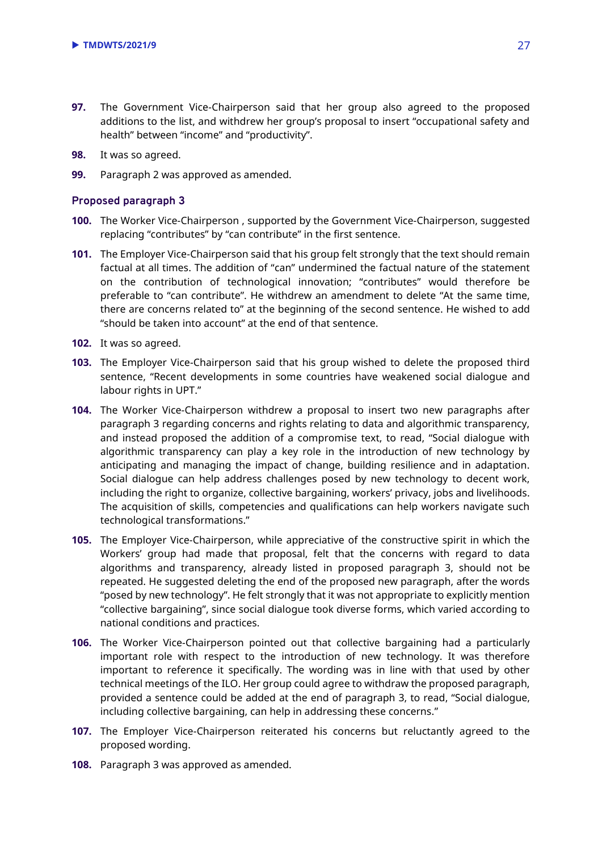- **97.** The Government Vice-Chairperson said that her group also agreed to the proposed additions to the list, and withdrew her group's proposal to insert "occupational safety and health" between "income" and "productivity".
- **98.** It was so agreed.
- **99.** Paragraph 2 was approved as amended.

- **100.** The Worker Vice-Chairperson , supported by the Government Vice-Chairperson, suggested replacing "contributes" by "can contribute" in the first sentence.
- **101.** The Employer Vice-Chairperson said that his group felt strongly that the text should remain factual at all times. The addition of "can" undermined the factual nature of the statement on the contribution of technological innovation; "contributes" would therefore be preferable to "can contribute". He withdrew an amendment to delete "At the same time, there are concerns related to" at the beginning of the second sentence. He wished to add "should be taken into account" at the end of that sentence.
- **102.** It was so agreed.
- **103.** The Employer Vice-Chairperson said that his group wished to delete the proposed third sentence, "Recent developments in some countries have weakened social dialogue and labour rights in UPT."
- **104.** The Worker Vice-Chairperson withdrew a proposal to insert two new paragraphs after paragraph 3 regarding concerns and rights relating to data and algorithmic transparency, and instead proposed the addition of a compromise text, to read, "Social dialogue with algorithmic transparency can play a key role in the introduction of new technology by anticipating and managing the impact of change, building resilience and in adaptation. Social dialogue can help address challenges posed by new technology to decent work, including the right to organize, collective bargaining, workers' privacy, jobs and livelihoods. The acquisition of skills, competencies and qualifications can help workers navigate such technological transformations."
- **105.** The Employer Vice-Chairperson, while appreciative of the constructive spirit in which the Workers' group had made that proposal, felt that the concerns with regard to data algorithms and transparency, already listed in proposed paragraph 3, should not be repeated. He suggested deleting the end of the proposed new paragraph, after the words "posed by new technology". He felt strongly that it was not appropriate to explicitly mention "collective bargaining", since social dialogue took diverse forms, which varied according to national conditions and practices.
- **106.** The Worker Vice-Chairperson pointed out that collective bargaining had a particularly important role with respect to the introduction of new technology. It was therefore important to reference it specifically. The wording was in line with that used by other technical meetings of the ILO. Her group could agree to withdraw the proposed paragraph, provided a sentence could be added at the end of paragraph 3, to read, "Social dialogue, including collective bargaining, can help in addressing these concerns."
- **107.** The Employer Vice-Chairperson reiterated his concerns but reluctantly agreed to the proposed wording.
- **108.** Paragraph 3 was approved as amended.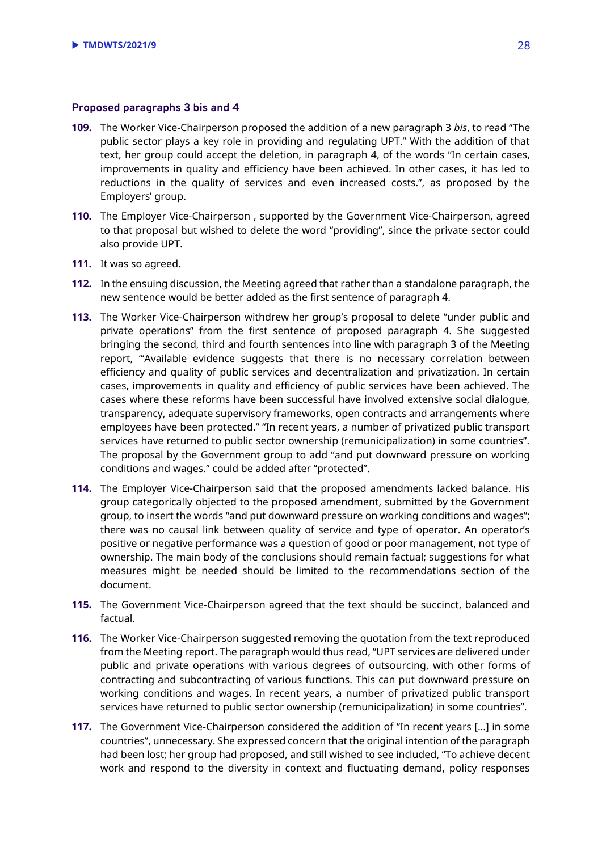#### **Proposed paragraphs 3 bis and 4**

- **109.** The Worker Vice-Chairperson proposed the addition of a new paragraph 3 *bis*, to read "The public sector plays a key role in providing and regulating UPT." With the addition of that text, her group could accept the deletion, in paragraph 4, of the words "In certain cases, improvements in quality and efficiency have been achieved. In other cases, it has led to reductions in the quality of services and even increased costs.", as proposed by the Employers' group.
- **110.** The Employer Vice-Chairperson , supported by the Government Vice-Chairperson, agreed to that proposal but wished to delete the word "providing", since the private sector could also provide UPT.
- **111.** It was so agreed.
- **112.** In the ensuing discussion, the Meeting agreed that rather than a standalone paragraph, the new sentence would be better added as the first sentence of paragraph 4.
- **113.** The Worker Vice-Chairperson withdrew her group's proposal to delete "under public and private operations" from the first sentence of proposed paragraph 4. She suggested bringing the second, third and fourth sentences into line with paragraph 3 of the Meeting report, "'Available evidence suggests that there is no necessary correlation between efficiency and quality of public services and decentralization and privatization. In certain cases, improvements in quality and efficiency of public services have been achieved. The cases where these reforms have been successful have involved extensive social dialogue, transparency, adequate supervisory frameworks, open contracts and arrangements where employees have been protected." "In recent years, a number of privatized public transport services have returned to public sector ownership (remunicipalization) in some countries". The proposal by the Government group to add "and put downward pressure on working conditions and wages." could be added after "protected".
- **114.** The Employer Vice-Chairperson said that the proposed amendments lacked balance. His group categorically objected to the proposed amendment, submitted by the Government group, to insert the words "and put downward pressure on working conditions and wages"; there was no causal link between quality of service and type of operator. An operator's positive or negative performance was a question of good or poor management, not type of ownership. The main body of the conclusions should remain factual; suggestions for what measures might be needed should be limited to the recommendations section of the document.
- **115.** The Government Vice-Chairperson agreed that the text should be succinct, balanced and factual.
- **116.** The Worker Vice-Chairperson suggested removing the quotation from the text reproduced from the Meeting report. The paragraph would thus read, "UPT services are delivered under public and private operations with various degrees of outsourcing, with other forms of contracting and subcontracting of various functions. This can put downward pressure on working conditions and wages. In recent years, a number of privatized public transport services have returned to public sector ownership (remunicipalization) in some countries".
- **117.** The Government Vice-Chairperson considered the addition of "In recent years […] in some countries", unnecessary. She expressed concern that the original intention of the paragraph had been lost; her group had proposed, and still wished to see included, "To achieve decent work and respond to the diversity in context and fluctuating demand, policy responses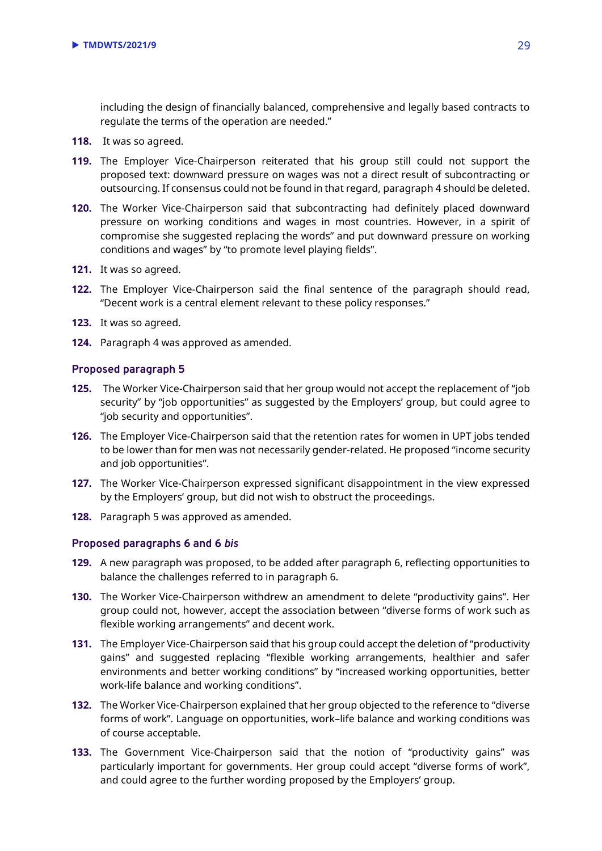including the design of financially balanced, comprehensive and legally based contracts to regulate the terms of the operation are needed."

- **118.** It was so agreed.
- **119.** The Employer Vice-Chairperson reiterated that his group still could not support the proposed text: downward pressure on wages was not a direct result of subcontracting or outsourcing. If consensus could not be found in that regard, paragraph 4 should be deleted.
- **120.** The Worker Vice-Chairperson said that subcontracting had definitely placed downward pressure on working conditions and wages in most countries. However, in a spirit of compromise she suggested replacing the words" and put downward pressure on working conditions and wages" by "to promote level playing fields".
- **121.** It was so agreed.
- **122.** The Employer Vice-Chairperson said the final sentence of the paragraph should read, "Decent work is a central element relevant to these policy responses."
- **123.** It was so agreed.
- **124.** Paragraph 4 was approved as amended.

#### **Proposed paragraph 5**

- **125.** The Worker Vice-Chairperson said that her group would not accept the replacement of "job security" by "job opportunities" as suggested by the Employers' group, but could agree to "job security and opportunities".
- **126.** The Employer Vice-Chairperson said that the retention rates for women in UPT jobs tended to be lower than for men was not necessarily gender-related. He proposed "income security and job opportunities".
- **127.** The Worker Vice-Chairperson expressed significant disappointment in the view expressed by the Employers' group, but did not wish to obstruct the proceedings.
- **128.** Paragraph 5 was approved as amended.

#### **Proposed paragraphs 6 and 6** *bis*

- **129.** A new paragraph was proposed, to be added after paragraph 6, reflecting opportunities to balance the challenges referred to in paragraph 6.
- **130.** The Worker Vice-Chairperson withdrew an amendment to delete "productivity gains". Her group could not, however, accept the association between "diverse forms of work such as flexible working arrangements" and decent work.
- **131.** The Employer Vice-Chairperson said that his group could accept the deletion of "productivity gains" and suggested replacing "flexible working arrangements, healthier and safer environments and better working conditions" by "increased working opportunities, better work-life balance and working conditions".
- **132.** The Worker Vice-Chairperson explained that her group objected to the reference to "diverse forms of work". Language on opportunities, work–life balance and working conditions was of course acceptable.
- **133.** The Government Vice-Chairperson said that the notion of "productivity gains" was particularly important for governments. Her group could accept "diverse forms of work", and could agree to the further wording proposed by the Employers' group.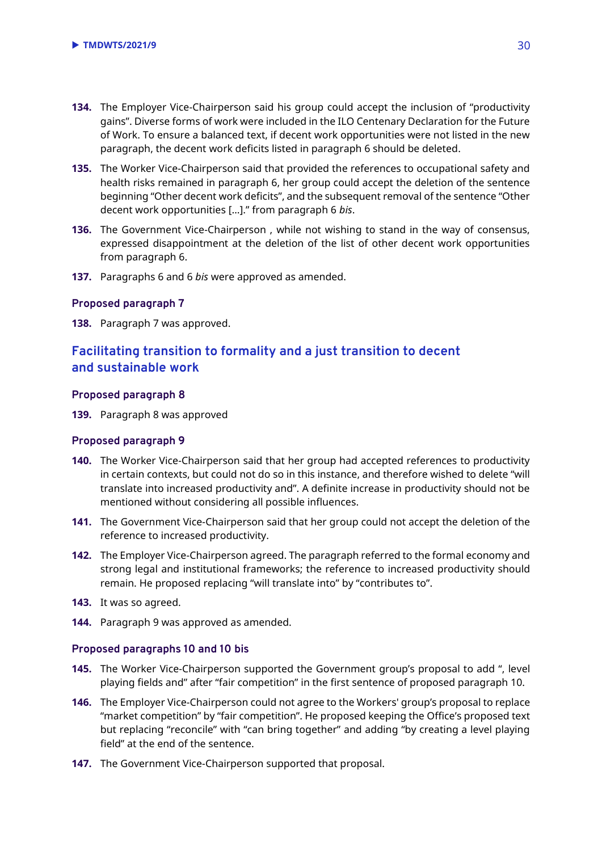- **134.** The Employer Vice-Chairperson said his group could accept the inclusion of "productivity gains". Diverse forms of work were included in the ILO Centenary Declaration for the Future of Work. To ensure a balanced text, if decent work opportunities were not listed in the new paragraph, the decent work deficits listed in paragraph 6 should be deleted.
- **135.** The Worker Vice-Chairperson said that provided the references to occupational safety and health risks remained in paragraph 6, her group could accept the deletion of the sentence beginning "Other decent work deficits", and the subsequent removal of the sentence "Other decent work opportunities […]." from paragraph 6 *bis*.
- **136.** The Government Vice-Chairperson , while not wishing to stand in the way of consensus, expressed disappointment at the deletion of the list of other decent work opportunities from paragraph 6.
- **137.** Paragraphs 6 and 6 *bis* were approved as amended.

#### **Proposed paragraph 7**

**138.** Paragraph 7 was approved.

## **Facilitating transition to formality and a just transition to decent and sustainable work**

#### **Proposed paragraph 8**

**139.** Paragraph 8 was approved

#### **Proposed paragraph 9**

- **140.** The Worker Vice-Chairperson said that her group had accepted references to productivity in certain contexts, but could not do so in this instance, and therefore wished to delete "will translate into increased productivity and". A definite increase in productivity should not be mentioned without considering all possible influences.
- **141.** The Government Vice-Chairperson said that her group could not accept the deletion of the reference to increased productivity.
- **142.** The Employer Vice-Chairperson agreed. The paragraph referred to the formal economy and strong legal and institutional frameworks; the reference to increased productivity should remain. He proposed replacing "will translate into" by "contributes to".
- **143.** It was so agreed.
- **144.** Paragraph 9 was approved as amended.

#### **Proposed paragraphs 10 and 10 bis**

- **145.** The Worker Vice-Chairperson supported the Government group's proposal to add ", level playing fields and" after "fair competition" in the first sentence of proposed paragraph 10.
- **146.** The Employer Vice-Chairperson could not agree to the Workers' group's proposal to replace "market competition" by "fair competition". He proposed keeping the Office's proposed text but replacing "reconcile" with "can bring together" and adding "by creating a level playing field" at the end of the sentence.
- **147.** The Government Vice-Chairperson supported that proposal.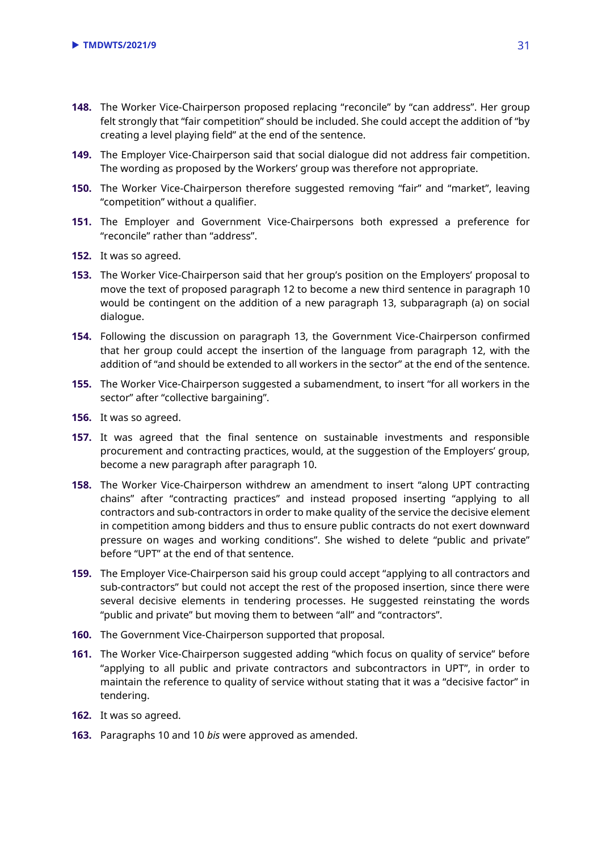- **148.** The Worker Vice-Chairperson proposed replacing "reconcile" by "can address". Her group felt strongly that "fair competition" should be included. She could accept the addition of "by creating a level playing field" at the end of the sentence.
- **149.** The Employer Vice-Chairperson said that social dialogue did not address fair competition. The wording as proposed by the Workers' group was therefore not appropriate.
- **150.** The Worker Vice-Chairperson therefore suggested removing "fair" and "market", leaving "competition" without a qualifier.
- **151.** The Employer and Government Vice-Chairpersons both expressed a preference for "reconcile" rather than "address".
- **152.** It was so agreed.
- **153.** The Worker Vice-Chairperson said that her group's position on the Employers' proposal to move the text of proposed paragraph 12 to become a new third sentence in paragraph 10 would be contingent on the addition of a new paragraph 13, subparagraph (a) on social dialogue.
- **154.** Following the discussion on paragraph 13, the Government Vice-Chairperson confirmed that her group could accept the insertion of the language from paragraph 12, with the addition of "and should be extended to all workers in the sector" at the end of the sentence.
- **155.** The Worker Vice-Chairperson suggested a subamendment, to insert "for all workers in the sector" after "collective bargaining".
- **156.** It was so agreed.
- **157.** It was agreed that the final sentence on sustainable investments and responsible procurement and contracting practices, would, at the suggestion of the Employers' group, become a new paragraph after paragraph 10.
- **158.** The Worker Vice-Chairperson withdrew an amendment to insert "along UPT contracting chains" after "contracting practices" and instead proposed inserting "applying to all contractors and sub-contractors in order to make quality of the service the decisive element in competition among bidders and thus to ensure public contracts do not exert downward pressure on wages and working conditions". She wished to delete "public and private" before "UPT" at the end of that sentence.
- **159.** The Employer Vice-Chairperson said his group could accept "applying to all contractors and sub-contractors" but could not accept the rest of the proposed insertion, since there were several decisive elements in tendering processes. He suggested reinstating the words "public and private" but moving them to between "all" and "contractors".
- **160.** The Government Vice-Chairperson supported that proposal.
- **161.** The Worker Vice-Chairperson suggested adding "which focus on quality of service" before "applying to all public and private contractors and subcontractors in UPT", in order to maintain the reference to quality of service without stating that it was a "decisive factor" in tendering.
- **162.** It was so agreed.
- **163.** Paragraphs 10 and 10 *bis* were approved as amended.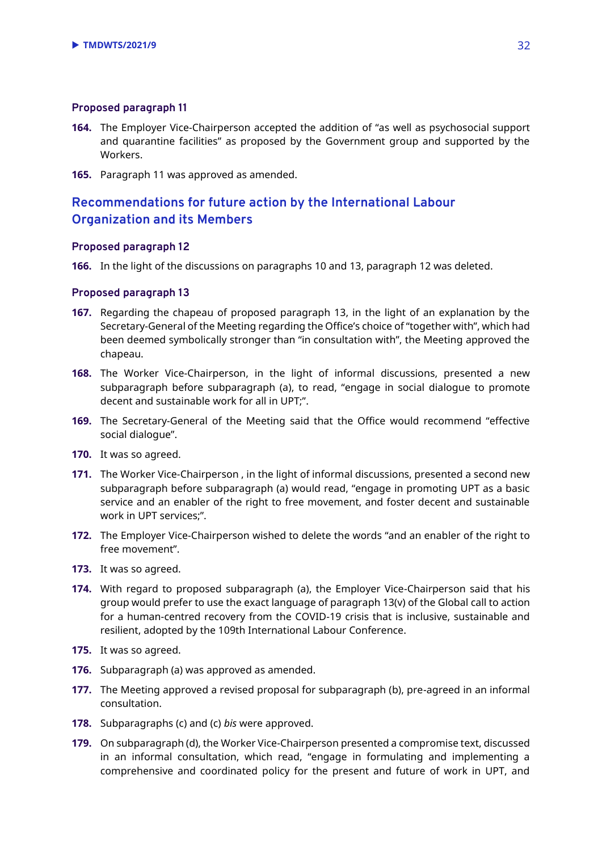#### **Proposed paragraph 11**

- **164.** The Employer Vice-Chairperson accepted the addition of "as well as psychosocial support and quarantine facilities" as proposed by the Government group and supported by the Workers.
- **165.** Paragraph 11 was approved as amended.

## **Recommendations for future action by the International Labour Organization and its Members**

#### **Proposed paragraph 12**

**166.** In the light of the discussions on paragraphs 10 and 13, paragraph 12 was deleted.

- **167.** Regarding the chapeau of proposed paragraph 13, in the light of an explanation by the Secretary-General of the Meeting regarding the Office's choice of "together with", which had been deemed symbolically stronger than "in consultation with", the Meeting approved the chapeau.
- **168.** The Worker Vice-Chairperson, in the light of informal discussions, presented a new subparagraph before subparagraph (a), to read, "engage in social dialogue to promote decent and sustainable work for all in UPT;".
- **169.** The Secretary-General of the Meeting said that the Office would recommend "effective social dialogue".
- **170.** It was so agreed.
- **171.** The Worker Vice-Chairperson , in the light of informal discussions, presented a second new subparagraph before subparagraph (a) would read, "engage in promoting UPT as a basic service and an enabler of the right to free movement, and foster decent and sustainable work in UPT services;".
- **172.** The Employer Vice-Chairperson wished to delete the words "and an enabler of the right to free movement".
- **173.** It was so agreed.
- **174.** With regard to proposed subparagraph (a), the Employer Vice-Chairperson said that his group would prefer to use the exact language of paragraph 13(v) of the Global call to action for a human-centred recovery from the COVID-19 crisis that is inclusive, sustainable and resilient, adopted by the 109th International Labour Conference.
- **175.** It was so agreed.
- **176.** Subparagraph (a) was approved as amended.
- **177.** The Meeting approved a revised proposal for subparagraph (b), pre-agreed in an informal consultation.
- **178.** Subparagraphs (c) and (c) *bis* were approved.
- **179.** On subparagraph (d), the Worker Vice-Chairperson presented a compromise text, discussed in an informal consultation, which read, "engage in formulating and implementing a comprehensive and coordinated policy for the present and future of work in UPT, and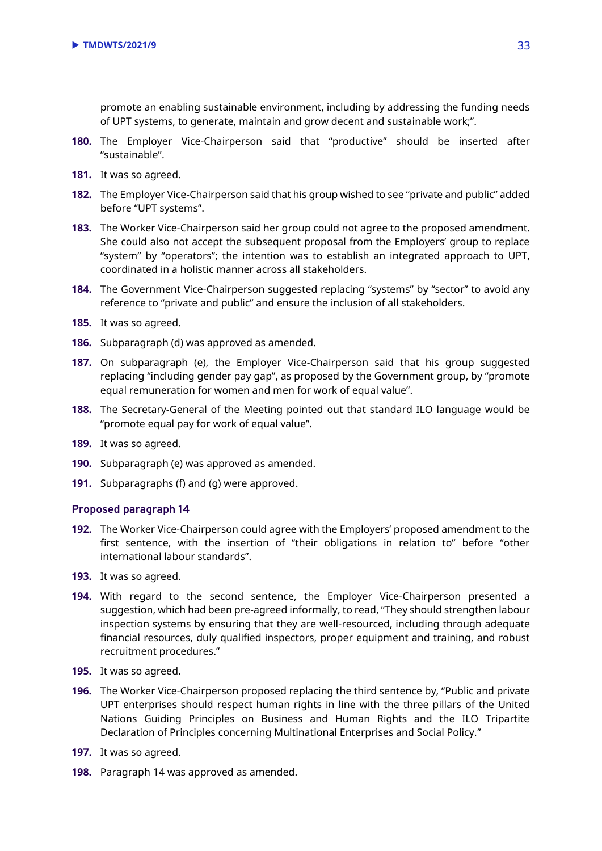promote an enabling sustainable environment, including by addressing the funding needs of UPT systems, to generate, maintain and grow decent and sustainable work;".

- **180.** The Employer Vice-Chairperson said that "productive" should be inserted after "sustainable".
- **181.** It was so agreed.
- **182.** The Employer Vice-Chairperson said that his group wished to see "private and public" added before "UPT systems".
- **183.** The Worker Vice-Chairperson said her group could not agree to the proposed amendment. She could also not accept the subsequent proposal from the Employers' group to replace "system" by "operators"; the intention was to establish an integrated approach to UPT, coordinated in a holistic manner across all stakeholders.
- **184.** The Government Vice-Chairperson suggested replacing "systems" by "sector" to avoid any reference to "private and public" and ensure the inclusion of all stakeholders.
- **185.** It was so agreed.
- **186.** Subparagraph (d) was approved as amended.
- **187.** On subparagraph (e), the Employer Vice-Chairperson said that his group suggested replacing "including gender pay gap", as proposed by the Government group, by "promote equal remuneration for women and men for work of equal value".
- **188.** The Secretary-General of the Meeting pointed out that standard ILO language would be "promote equal pay for work of equal value".
- **189.** It was so agreed.
- **190.** Subparagraph (e) was approved as amended.
- **191.** Subparagraphs (f) and (g) were approved.

- **192.** The Worker Vice-Chairperson could agree with the Employers' proposed amendment to the first sentence, with the insertion of "their obligations in relation to" before "other international labour standards".
- **193.** It was so agreed.
- **194.** With regard to the second sentence, the Employer Vice-Chairperson presented a suggestion, which had been pre-agreed informally, to read, "They should strengthen labour inspection systems by ensuring that they are well-resourced, including through adequate financial resources, duly qualified inspectors, proper equipment and training, and robust recruitment procedures."
- **195.** It was so agreed.
- **196.** The Worker Vice-Chairperson proposed replacing the third sentence by, "Public and private UPT enterprises should respect human rights in line with the three pillars of the United Nations Guiding Principles on Business and Human Rights and the ILO Tripartite Declaration of Principles concerning Multinational Enterprises and Social Policy."
- **197.** It was so agreed.
- **198.** Paragraph 14 was approved as amended.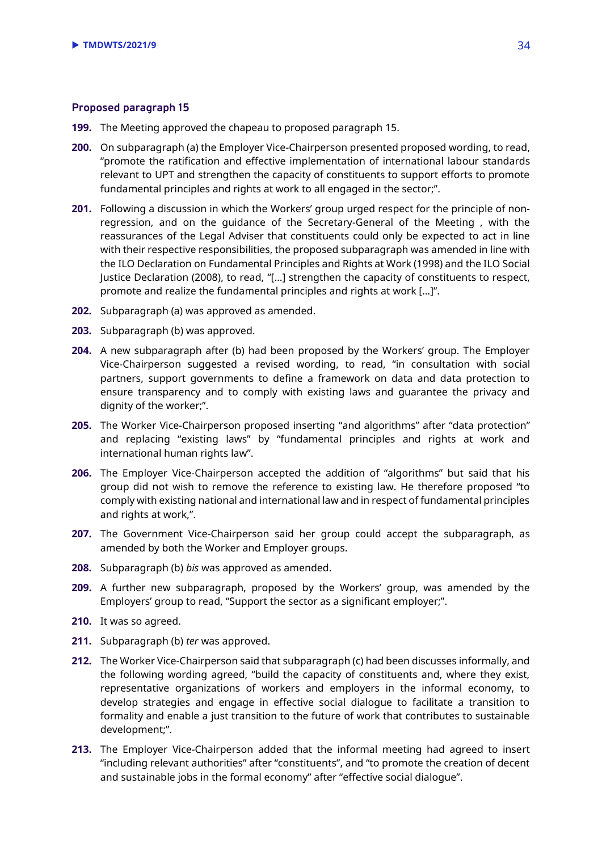- **199.** The Meeting approved the chapeau to proposed paragraph 15.
- **200.** On subparagraph (a) the Employer Vice-Chairperson presented proposed wording, to read, "promote the ratification and effective implementation of international labour standards relevant to UPT and strengthen the capacity of constituents to support efforts to promote fundamental principles and rights at work to all engaged in the sector;".
- **201.** Following a discussion in which the Workers' group urged respect for the principle of nonregression, and on the guidance of the Secretary-General of the Meeting , with the reassurances of the Legal Adviser that constituents could only be expected to act in line with their respective responsibilities, the proposed subparagraph was amended in line with the ILO Declaration on Fundamental Principles and Rights at Work (1998) and the ILO Social Justice Declaration (2008), to read, "[…] strengthen the capacity of constituents to respect, promote and realize the fundamental principles and rights at work […]".
- **202.** Subparagraph (a) was approved as amended.
- **203.** Subparagraph (b) was approved.
- **204.** A new subparagraph after (b) had been proposed by the Workers' group. The Employer Vice-Chairperson suggested a revised wording, to read, "in consultation with social partners, support governments to define a framework on data and data protection to ensure transparency and to comply with existing laws and guarantee the privacy and dignity of the worker;".
- **205.** The Worker Vice-Chairperson proposed inserting "and algorithms" after "data protection" and replacing "existing laws" by "fundamental principles and rights at work and international human rights law".
- **206.** The Employer Vice-Chairperson accepted the addition of "algorithms" but said that his group did not wish to remove the reference to existing law. He therefore proposed "to comply with existing national and international law and in respect of fundamental principles and rights at work,".
- **207.** The Government Vice-Chairperson said her group could accept the subparagraph, as amended by both the Worker and Employer groups.
- **208.** Subparagraph (b) *bis* was approved as amended.
- **209.** A further new subparagraph, proposed by the Workers' group, was amended by the Employers' group to read, "Support the sector as a significant employer;".
- **210.** It was so agreed.
- **211.** Subparagraph (b) *ter* was approved.
- **212.** The Worker Vice-Chairperson said that subparagraph (c) had been discusses informally, and the following wording agreed, "build the capacity of constituents and, where they exist, representative organizations of workers and employers in the informal economy, to develop strategies and engage in effective social dialogue to facilitate a transition to formality and enable a just transition to the future of work that contributes to sustainable development;".
- **213.** The Employer Vice-Chairperson added that the informal meeting had agreed to insert "including relevant authorities" after "constituents", and "to promote the creation of decent and sustainable jobs in the formal economy" after "effective social dialogue".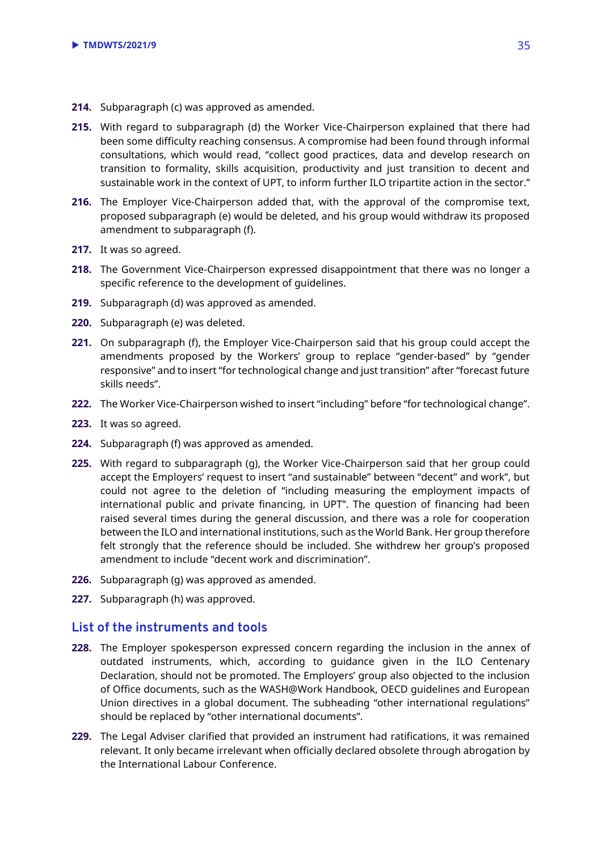- **214.** Subparagraph (c) was approved as amended.
- **215.** With regard to subparagraph (d) the Worker Vice-Chairperson explained that there had been some difficulty reaching consensus. A compromise had been found through informal consultations, which would read, "collect good practices, data and develop research on transition to formality, skills acquisition, productivity and just transition to decent and sustainable work in the context of UPT, to inform further ILO tripartite action in the sector."
- **216.** The Employer Vice-Chairperson added that, with the approval of the compromise text, proposed subparagraph (e) would be deleted, and his group would withdraw its proposed amendment to subparagraph (f).
- **217.** It was so agreed.
- **218.** The Government Vice-Chairperson expressed disappointment that there was no longer a specific reference to the development of guidelines.
- **219.** Subparagraph (d) was approved as amended.
- **220.** Subparagraph (e) was deleted.
- **221.** On subparagraph (f), the Employer Vice-Chairperson said that his group could accept the amendments proposed by the Workers' group to replace "gender-based" by "gender responsive" and to insert "for technological change and just transition" after "forecast future skills needs".
- **222.** The Worker Vice-Chairperson wished to insert "including" before "for technological change".
- **223.** It was so agreed.
- **224.** Subparagraph (f) was approved as amended.
- **225.** With regard to subparagraph (g), the Worker Vice-Chairperson said that her group could accept the Employers' request to insert "and sustainable" between "decent" and work", but could not agree to the deletion of "including measuring the employment impacts of international public and private financing, in UPT". The question of financing had been raised several times during the general discussion, and there was a role for cooperation between the ILO and international institutions, such as the World Bank. Her group therefore felt strongly that the reference should be included. She withdrew her group's proposed amendment to include "decent work and discrimination".
- **226.** Subparagraph (g) was approved as amended.
- **227.** Subparagraph (h) was approved.

## **List of the instruments and tools**

- **228.** The Employer spokesperson expressed concern regarding the inclusion in the annex of outdated instruments, which, according to guidance given in the ILO Centenary Declaration, should not be promoted. The Employers' group also objected to the inclusion of Office documents, such as the WASH@Work Handbook, OECD guidelines and European Union directives in a global document. The subheading "other international regulations" should be replaced by "other international documents".
- **229.** The Legal Adviser clarified that provided an instrument had ratifications, it was remained relevant. It only became irrelevant when officially declared obsolete through abrogation by the International Labour Conference.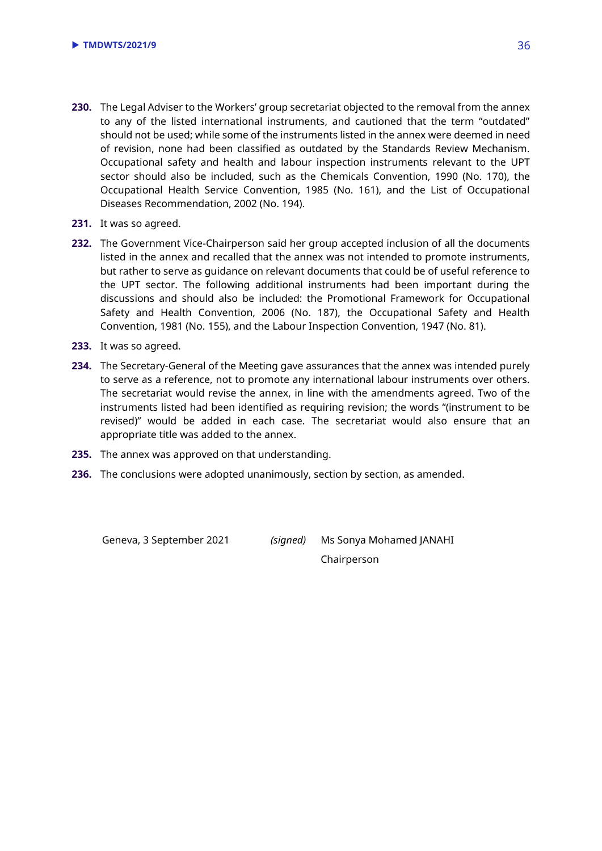- **230.** The Legal Adviser to the Workers' group secretariat objected to the removal from the annex to any of the listed international instruments, and cautioned that the term "outdated" should not be used; while some of the instruments listed in the annex were deemed in need of revision, none had been classified as outdated by the Standards Review Mechanism. Occupational safety and health and labour inspection instruments relevant to the UPT sector should also be included, such as the Chemicals Convention, 1990 (No. 170), the Occupational Health Service Convention, 1985 (No. 161), and the List of Occupational Diseases Recommendation, 2002 (No. 194).
- **231.** It was so agreed.
- **232.** The Government Vice-Chairperson said her group accepted inclusion of all the documents listed in the annex and recalled that the annex was not intended to promote instruments, but rather to serve as guidance on relevant documents that could be of useful reference to the UPT sector. The following additional instruments had been important during the discussions and should also be included: the Promotional Framework for Occupational Safety and Health Convention, 2006 (No. 187), the Occupational Safety and Health Convention, 1981 (No. 155), and the Labour Inspection Convention, 1947 (No. 81).
- **233.** It was so agreed.
- **234.** The Secretary-General of the Meeting gave assurances that the annex was intended purely to serve as a reference, not to promote any international labour instruments over others. The secretariat would revise the annex, in line with the amendments agreed. Two of the instruments listed had been identified as requiring revision; the words "(instrument to be revised)" would be added in each case. The secretariat would also ensure that an appropriate title was added to the annex.
- **235.** The annex was approved on that understanding.
- **236.** The conclusions were adopted unanimously, section by section, as amended.

Geneva, 3 September 2021 *(signed)* Ms Sonya Mohamed JANAHI

Chairperson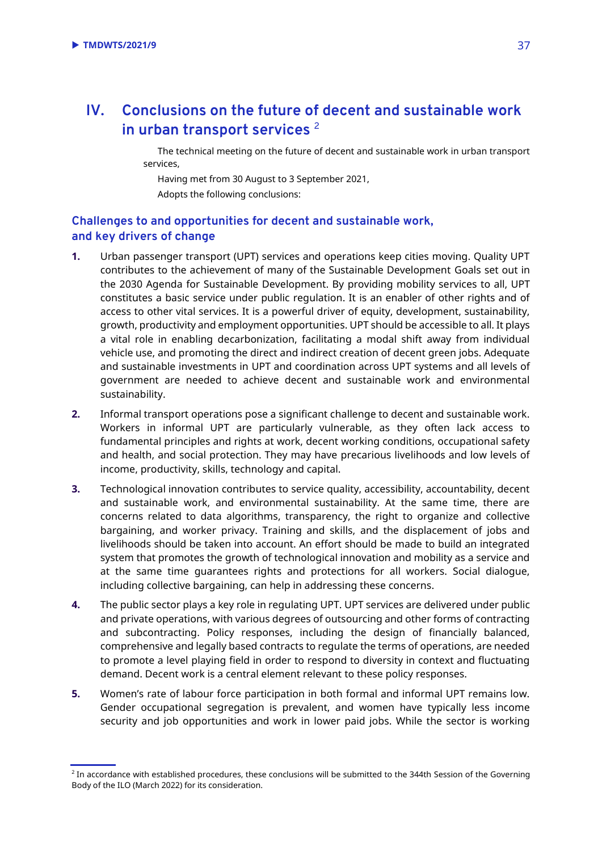## <span id="page-36-0"></span>**IV. Conclusions on the future of decent and sustainable work in urban transport services** <sup>2</sup>

The technical meeting on the future of decent and sustainable work in urban transport services,

Having met from 30 August to 3 September 2021, Adopts the following conclusions:

## **Challenges to and opportunities for decent and sustainable work, and key drivers of change**

- **1.** Urban passenger transport (UPT) services and operations keep cities moving. Quality UPT contributes to the achievement of many of the Sustainable Development Goals set out in the 2030 Agenda for Sustainable Development. By providing mobility services to all, UPT constitutes a basic service under public regulation. It is an enabler of other rights and of access to other vital services. It is a powerful driver of equity, development, sustainability, growth, productivity and employment opportunities. UPT should be accessible to all. It plays a vital role in enabling decarbonization, facilitating a modal shift away from individual vehicle use, and promoting the direct and indirect creation of decent green jobs. Adequate and sustainable investments in UPT and coordination across UPT systems and all levels of government are needed to achieve decent and sustainable work and environmental sustainability.
- **2.** Informal transport operations pose a significant challenge to decent and sustainable work. Workers in informal UPT are particularly vulnerable, as they often lack access to fundamental principles and rights at work, decent working conditions, occupational safety and health, and social protection. They may have precarious livelihoods and low levels of income, productivity, skills, technology and capital.
- **3.** Technological innovation contributes to service quality, accessibility, accountability, decent and sustainable work, and environmental sustainability. At the same time, there are concerns related to data algorithms, transparency, the right to organize and collective bargaining, and worker privacy. Training and skills, and the displacement of jobs and livelihoods should be taken into account. An effort should be made to build an integrated system that promotes the growth of technological innovation and mobility as a service and at the same time guarantees rights and protections for all workers. Social dialogue, including collective bargaining, can help in addressing these concerns.
- **4.** The public sector plays a key role in regulating UPT. UPT services are delivered under public and private operations, with various degrees of outsourcing and other forms of contracting and subcontracting. Policy responses, including the design of financially balanced, comprehensive and legally based contracts to regulate the terms of operations, are needed to promote a level playing field in order to respond to diversity in context and fluctuating demand. Decent work is a central element relevant to these policy responses.
- **5.** Women's rate of labour force participation in both formal and informal UPT remains low. Gender occupational segregation is prevalent, and women have typically less income security and job opportunities and work in lower paid jobs. While the sector is working

 $^2$  In accordance with established procedures, these conclusions will be submitted to the 344th Session of the Governing Body of the ILO (March 2022) for its consideration.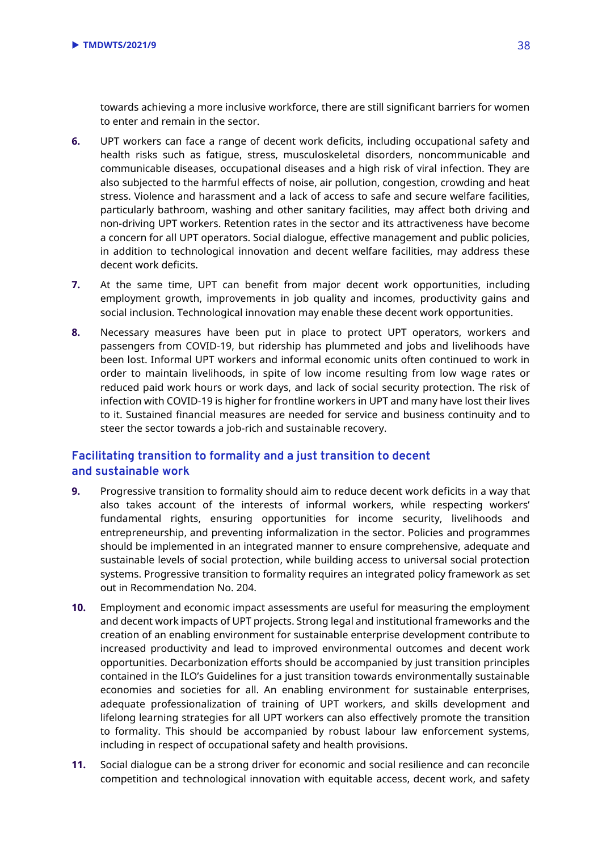towards achieving a more inclusive workforce, there are still significant barriers for women to enter and remain in the sector.

- **6.** UPT workers can face a range of decent work deficits, including occupational safety and health risks such as fatigue, stress, musculoskeletal disorders, noncommunicable and communicable diseases, occupational diseases and a high risk of viral infection. They are also subjected to the harmful effects of noise, air pollution, congestion, crowding and heat stress. Violence and harassment and a lack of access to safe and secure welfare facilities, particularly bathroom, washing and other sanitary facilities, may affect both driving and non-driving UPT workers. Retention rates in the sector and its attractiveness have become a concern for all UPT operators. Social dialogue, effective management and public policies, in addition to technological innovation and decent welfare facilities, may address these decent work deficits.
- **7.** At the same time, UPT can benefit from major decent work opportunities, including employment growth, improvements in job quality and incomes, productivity gains and social inclusion. Technological innovation may enable these decent work opportunities.
- **8.** Necessary measures have been put in place to protect UPT operators, workers and passengers from COVID-19, but ridership has plummeted and jobs and livelihoods have been lost. Informal UPT workers and informal economic units often continued to work in order to maintain livelihoods, in spite of low income resulting from low wage rates or reduced paid work hours or work days, and lack of social security protection. The risk of infection with COVID-19 is higher for frontline workers in UPT and many have lost their lives to it. Sustained financial measures are needed for service and business continuity and to steer the sector towards a job-rich and sustainable recovery.

## **Facilitating transition to formality and a just transition to decent and sustainable work**

- **9.** Progressive transition to formality should aim to reduce decent work deficits in a way that also takes account of the interests of informal workers, while respecting workers' fundamental rights, ensuring opportunities for income security, livelihoods and entrepreneurship, and preventing informalization in the sector. Policies and programmes should be implemented in an integrated manner to ensure comprehensive, adequate and sustainable levels of social protection, while building access to universal social protection systems. Progressive transition to formality requires an integrated policy framework as set out in Recommendation No. 204.
- **10.** Employment and economic impact assessments are useful for measuring the employment and decent work impacts of UPT projects. Strong legal and institutional frameworks and the creation of an enabling environment for sustainable enterprise development contribute to increased productivity and lead to improved environmental outcomes and decent work opportunities. Decarbonization efforts should be accompanied by just transition principles contained in the ILO's Guidelines for a just transition towards environmentally sustainable economies and societies for all. An enabling environment for sustainable enterprises, adequate professionalization of training of UPT workers, and skills development and lifelong learning strategies for all UPT workers can also effectively promote the transition to formality. This should be accompanied by robust labour law enforcement systems, including in respect of occupational safety and health provisions.
- **11.** Social dialogue can be a strong driver for economic and social resilience and can reconcile competition and technological innovation with equitable access, decent work, and safety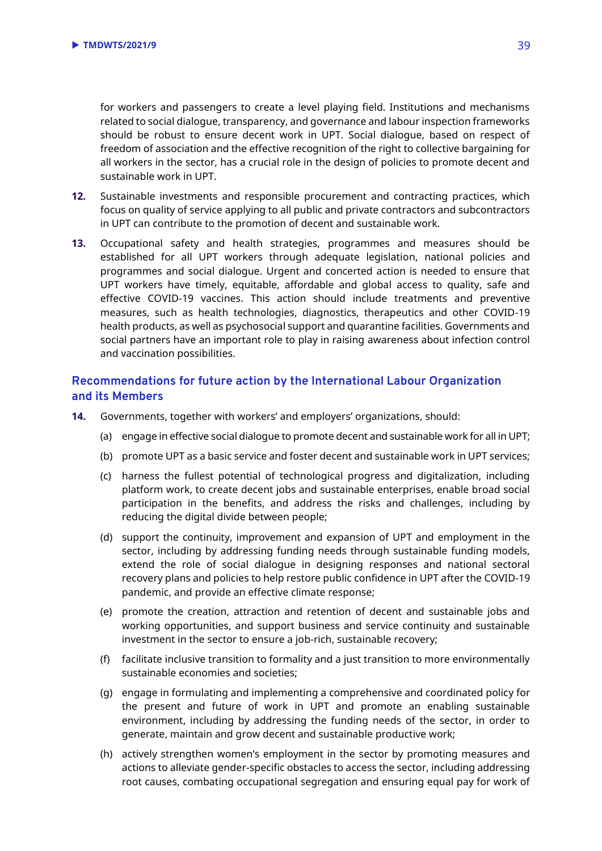for workers and passengers to create a level playing field. Institutions and mechanisms related to social dialogue, transparency, and governance and labour inspection frameworks should be robust to ensure decent work in UPT. Social dialogue, based on respect of freedom of association and the effective recognition of the right to collective bargaining for all workers in the sector, has a crucial role in the design of policies to promote decent and sustainable work in UPT.

- **12.** Sustainable investments and responsible procurement and contracting practices, which focus on quality of service applying to all public and private contractors and subcontractors in UPT can contribute to the promotion of decent and sustainable work.
- **13.** Occupational safety and health strategies, programmes and measures should be established for all UPT workers through adequate legislation, national policies and programmes and social dialogue. Urgent and concerted action is needed to ensure that UPT workers have timely, equitable, affordable and global access to quality, safe and effective COVID-19 vaccines. This action should include treatments and preventive measures, such as health technologies, diagnostics, therapeutics and other COVID-19 health products, as well as psychosocial support and quarantine facilities. Governments and social partners have an important role to play in raising awareness about infection control and vaccination possibilities.

## **Recommendations for future action by the International Labour Organization and its Members**

- **14.** Governments, together with workers' and employers' organizations, should:
	- (a) engage in effective social dialogue to promote decent and sustainable work for all in UPT;
	- (b) promote UPT as a basic service and foster decent and sustainable work in UPT services;
	- (c) harness the fullest potential of technological progress and digitalization, including platform work, to create decent jobs and sustainable enterprises, enable broad social participation in the benefits, and address the risks and challenges, including by reducing the digital divide between people;
	- (d) support the continuity, improvement and expansion of UPT and employment in the sector, including by addressing funding needs through sustainable funding models, extend the role of social dialogue in designing responses and national sectoral recovery plans and policies to help restore public confidence in UPT after the COVID-19 pandemic, and provide an effective climate response;
	- (e) promote the creation, attraction and retention of decent and sustainable jobs and working opportunities, and support business and service continuity and sustainable investment in the sector to ensure a job-rich, sustainable recovery;
	- (f) facilitate inclusive transition to formality and a just transition to more environmentally sustainable economies and societies;
	- (g) engage in formulating and implementing a comprehensive and coordinated policy for the present and future of work in UPT and promote an enabling sustainable environment, including by addressing the funding needs of the sector, in order to generate, maintain and grow decent and sustainable productive work;
	- (h) actively strengthen women's employment in the sector by promoting measures and actions to alleviate gender-specific obstacles to access the sector, including addressing root causes, combating occupational segregation and ensuring equal pay for work of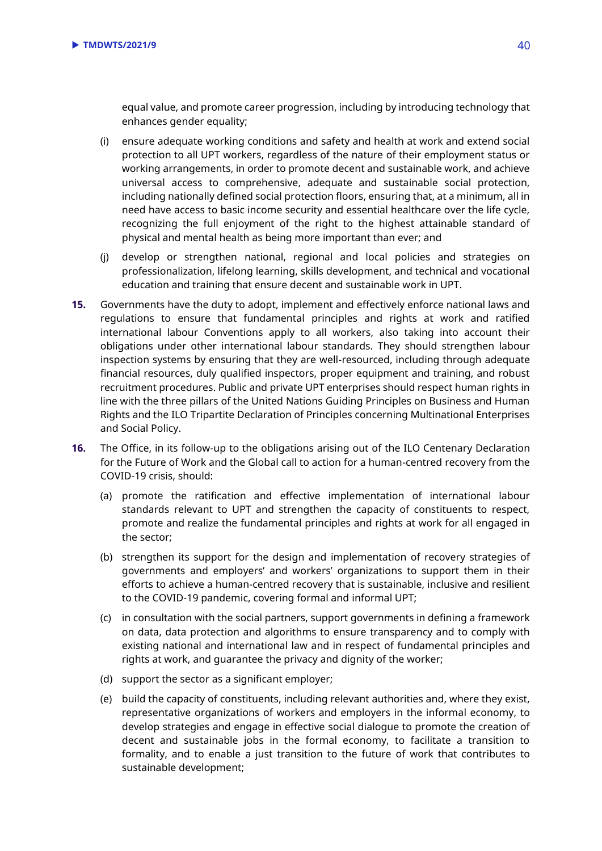equal value, and promote career progression, including by introducing technology that enhances gender equality;

- (i) ensure adequate working conditions and safety and health at work and extend social protection to all UPT workers, regardless of the nature of their employment status or working arrangements, in order to promote decent and sustainable work, and achieve universal access to comprehensive, adequate and sustainable social protection, including nationally defined social protection floors, ensuring that, at a minimum, all in need have access to basic income security and essential healthcare over the life cycle, recognizing the full enjoyment of the right to the highest attainable standard of physical and mental health as being more important than ever; and
- (j) develop or strengthen national, regional and local policies and strategies on professionalization, lifelong learning, skills development, and technical and vocational education and training that ensure decent and sustainable work in UPT.
- **15.** Governments have the duty to adopt, implement and effectively enforce national laws and regulations to ensure that fundamental principles and rights at work and ratified international labour Conventions apply to all workers, also taking into account their obligations under other international labour standards. They should strengthen labour inspection systems by ensuring that they are well-resourced, including through adequate financial resources, duly qualified inspectors, proper equipment and training, and robust recruitment procedures. Public and private UPT enterprises should respect human rights in line with the three pillars of the United Nations Guiding Principles on Business and Human Rights and the ILO Tripartite Declaration of Principles concerning Multinational Enterprises and Social Policy.
- **16.** The Office, in its follow-up to the obligations arising out of the ILO Centenary Declaration for the Future of Work and the Global call to action for a human-centred recovery from the COVID-19 crisis, should:
	- (a) promote the ratification and effective implementation of international labour standards relevant to UPT and strengthen the capacity of constituents to respect, promote and realize the fundamental principles and rights at work for all engaged in the sector;
	- (b) strengthen its support for the design and implementation of recovery strategies of governments and employers' and workers' organizations to support them in their efforts to achieve a human-centred recovery that is sustainable, inclusive and resilient to the COVID-19 pandemic, covering formal and informal UPT;
	- (c) in consultation with the social partners, support governments in defining a framework on data, data protection and algorithms to ensure transparency and to comply with existing national and international law and in respect of fundamental principles and rights at work, and guarantee the privacy and dignity of the worker;
	- (d) support the sector as a significant employer;
	- (e) build the capacity of constituents, including relevant authorities and, where they exist, representative organizations of workers and employers in the informal economy, to develop strategies and engage in effective social dialogue to promote the creation of decent and sustainable jobs in the formal economy, to facilitate a transition to formality, and to enable a just transition to the future of work that contributes to sustainable development;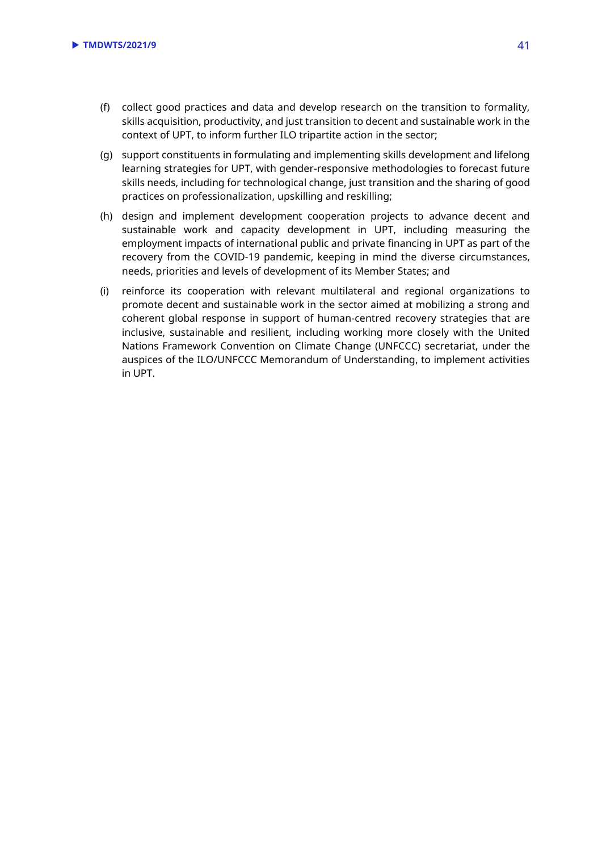- (f) collect good practices and data and develop research on the transition to formality, skills acquisition, productivity, and just transition to decent and sustainable work in the context of UPT, to inform further ILO tripartite action in the sector;
- (g) support constituents in formulating and implementing skills development and lifelong learning strategies for UPT, with gender-responsive methodologies to forecast future skills needs, including for technological change, just transition and the sharing of good practices on professionalization, upskilling and reskilling;
- (h) design and implement development cooperation projects to advance decent and sustainable work and capacity development in UPT, including measuring the employment impacts of international public and private financing in UPT as part of the recovery from the COVID-19 pandemic, keeping in mind the diverse circumstances, needs, priorities and levels of development of its Member States; and
- (i) reinforce its cooperation with relevant multilateral and regional organizations to promote decent and sustainable work in the sector aimed at mobilizing a strong and coherent global response in support of human-centred recovery strategies that are inclusive, sustainable and resilient, including working more closely with the United Nations Framework Convention on Climate Change (UNFCCC) secretariat, under the auspices of the ILO/UNFCCC Memorandum of Understanding, to implement activities in UPT.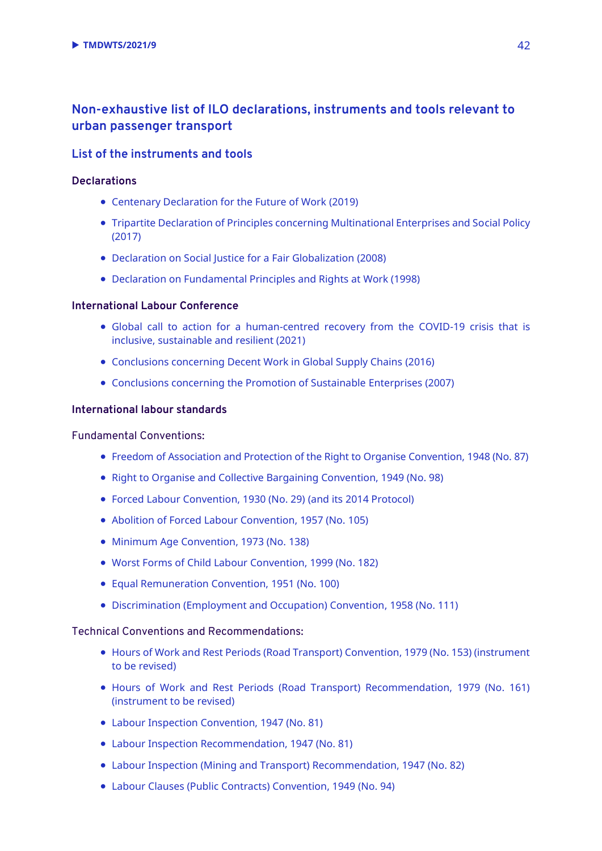## **Non-exhaustive list of ILO declarations, instruments and tools relevant to urban passenger transport**

#### **List of the instruments and tools**

#### **Declarations**

- [Centenary Declaration for the Future of Work](https://www.ilo.org/wcmsp5/groups/public/@ed_norm/@relconf/documents/meetingdocument/wcms_711674.pdf) (2019)
- [Tripartite Declaration of Principles concerning Multinational Enterprises and Social Policy](https://www.ilo.org/wcmsp5/groups/public/---ed_emp/---emp_ent/---multi/documents/publication/wcms_094386.pdf) (2017)
- [Declaration on Social Justice for a Fair Globalization \(2008\)](https://www.ilo.org/wcmsp5/groups/public/---dgreports/---cabinet/documents/genericdocument/wcms_371208.pdf)
- [Declaration on Fundamental Principles and Rights at Work \(1998\)](https://www.ilo.org/wcmsp5/groups/public/---ed_norm/---declaration/documents/publication/wcms_467653.pdf)

#### **International Labour Conference**

- [Global call to action for a human-centred recovery from the COVID-19 crisis that is](https://www.ilo.org/wcmsp5/groups/public/---ed_norm/---relconf/documents/meetingdocument/wcms_806092.pdf)  inclusive, [sustainable and resilient \(2021\)](https://www.ilo.org/wcmsp5/groups/public/---ed_norm/---relconf/documents/meetingdocument/wcms_806092.pdf)
- [Conclusions concerning Decent Work in Global Supply Chains](https://www.ilo.org/wcmsp5/groups/public/---ed_norm/---relconf/documents/meetingdocument/wcms_497555.pdf) (2016)
- [Conclusions concerning the Promotion of Sustainable](https://www.ilo.org/wcmsp5/groups/public/---ed_emp/---emp_ent/documents/publication/wcms_093970.pdf) Enterprises (2007)

#### **International labour standards**

#### Fundamental Conventions:

- [Freedom of Association and Protection of the Right to Organise Convention, 1948 \(No. 87\)](https://www.ilo.org/dyn/normlex/en/f?p=NORMLEXPUB:12100:::NO:12100:P12100_ILO_CODE:C087:NO)
- [Right to Organise and Collective Bargaining Convention, 1949 \(No. 98\)](https://www.ilo.org/dyn/normlex/en/f?p=NORMLEXPUB:12100:0::NO::P12100_ILO_CODE:C098)
- [Forced Labour Convention, 1930 \(No. 29\)](http://www.ilo.org/dyn/normlex/en/f?p=NORMLEXPUB:12100:::NO:12100:P12100_ILO_CODE:C029:NO) (and its [2014 Protocol\)](https://www.ilo.org/dyn/normlex/en/f?p=NORMLEXPUB:12100:::NO:12100:P12100_ILO_CODE:P029:NO)
- [Abolition of Forced Labour Convention, 1957 \(No. 105\)](http://www.ilo.org/dyn/normlex/en/f?p=NORMLEXPUB:12100:::NO:12100:P12100_ILO_CODE:C105:NO)
- [Minimum Age Convention, 1973 \(No. 138\)](http://www.ilo.org/dyn/normlex/en/f?p=NORMLEXPUB:12100:::NO:12100:P12100_ILO_CODE:C138:NO)
- [Worst Forms of Child Labour Convention, 1999 \(No. 182\)](http://www.ilo.org/dyn/normlex/en/f?p=NORMLEXPUB:12100:::NO:12100:P12100_ILO_CODE:C182:NO)
- [Equal Remuneration Convention, 1951 \(No. 100\)](https://www.ilo.org/dyn/normlex/en/f?p=NORMLEXPUB:12100:0::NO::P12100_ILO_CODE:C100)
- [Discrimination \(Employment and Occupation\) Convention, 1958 \(No. 111\)](https://www.ilo.org/dyn/normlex/en/f?p=NORMLEXPUB:12100:0::NO::P12100_ILO_CODE:C111)

#### Technical Conventions and Recommendations:

- Hours of Work and Rest Periods (Road Transport) Convention, 1979 (No. 153) (instrument [to be revised\)](https://www.ilo.org/dyn/normlex/en/f?p=NORMLEXPUB:12100:0::NO::P12100_ILO_CODE:C153)
- Hours of Work and Rest Periods (Road Transport) Recommendation, 1979 (No. 161) [\(instrument to be revised\)](https://www.ilo.org/dyn/normlex/en/f?p=NORMLEXPUB:12100:0::NO::P12100_ILO_CODE:R161)
- [Labour Inspection Convention, 1947 \(No. 81\)](https://www.ilo.org/dyn/normlex/en/f?p=NORMLEXPUB:12100:0::NO::P12100_ILO_CODE:C081)
- [Labour Inspection Recommendation, 1947 \(No. 81\)](https://www.ilo.org/dyn/normlex/en/f?p=NORMLEXPUB:12100:0::NO::P12100_ILO_CODE:R081)
- [Labour Inspection \(Mining and Transport\) Recommendation, 1947 \(No. 82\)](https://www.ilo.org/dyn/normlex/en/f?p=NORMLEXPUB:12100:0::NO::P12100_ILO_CODE:R082)
- [Labour Clauses \(Public Contracts\) Convention, 1949 \(No. 94\)](https://www.ilo.org/dyn/normlex/en/f?p=NORMLEXPUB:12100:0::NO::P12100_INSTRUMENT_ID:312239)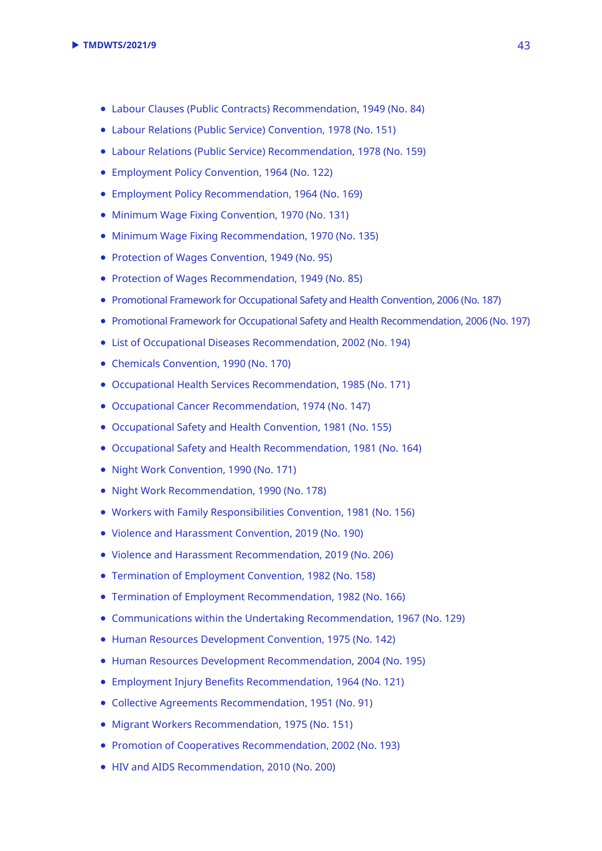- [Labour Clauses \(Public Contracts\) Recommendation, 1949 \(No. 84\)](https://www.ilo.org/dyn/normlex/en/f?p=1000:12100:::NO:12100:P12100_INSTRUMENT_ID:312422)
- [Labour Relations \(Public Service\) Convention, 1978 \(No. 151\)](https://www.ilo.org/dyn/normlex/en/f?p=NORMLEXPUB:12100:0::NO::P12100_ILO_CODE:C151)
- [Labour Relations \(Public Service\) Recommendation, 1978 \(No. 159\)](https://www.ilo.org/dyn/normlex/en/f?p=NORMLEXPUB:12100:0::NO::P12100_INSTRUMENT_ID:312497)
- [Employment Policy Convention, 1964 \(No. 122\)](https://www.ilo.org/dyn/normlex/en/f?p=NORMLEXPUB:12100:0::NO::P12100_INSTRUMENT_ID:312267)
- [Employment Policy Recommendation, 1964 \(No. 169\)](https://www.ilo.org/dyn/normlex/en/f?p=NORMLEXPUB:12100:0::NO::P12100_ILO_CODE:R169)
- [Minimum Wage Fixing Convention, 1970 \(No. 131\)](https://www.ilo.org/dyn/normlex/en/f?p=NORMLEXPUB:12100:0::NO::P12100_ILO_CODE:C131)
- [Minimum Wage Fixing Recommendation, 1970 \(No. 135\)](https://www.ilo.org/dyn/normlex/en/f?p=1000:12100:::NO:12100:P12100_INSTRUMENT_ID:312473)
- [Protection of Wages Convention, 1949 \(No. 95\)](https://www.ilo.org/dyn/normlex/en/f?p=1000:12100:::NO:12100:P12100_INSTRUMENT_ID:312240)
- [Protection of Wages Recommendation, 1949 \(No. 85\)](https://www.ilo.org/dyn/normlex/en/f?p=1000:12100:::NO:12100:P12100_INSTRUMENT_ID:312423)
- [Promotional Framework for Occupational Safety and Health Convention, 2006 \(No. 187\)](https://www.ilo.org/dyn/normlex/en/f?p=NORMLEXPUB:12100:0::NO::P12100_ILO_CODE:C187)
- [Promotional Framework for Occupational Safety and Health Recommendation, 2006 \(No.](https://www.ilo.org/dyn/normlex/en/f?p=NORMLEXPUB:12100:0::NO::P12100_ILO_CODE:R197) 197)
- [List of Occupational Diseases Recommendation, 2002 \(No. 194\)](https://www.ilo.org/dyn/normlex/en/f?p=NORMLEXPUB:12100:0::NO:12100:P12100_INSTRUMENT_ID:312532:NO)
- [Chemicals Convention, 1990 \(No. 170\)](https://www.ilo.org/dyn/normlex/en/f?p=NORMLEXPUB:12100:0::NO::P12100_ILO_CODE:C170)
- [Occupational Health Services Recommendation, 1985 \(No. 171\)](https://www.ilo.org/dyn/normlex/en/f?p=NORMLEXPUB:12100:0::NO::P12100_ILO_CODE:R171)
- [Occupational Cancer Recommendation, 1974 \(No. 147\)](https://www.ilo.org/dyn/normlex/en/f?p=NORMLEXPUB:12100:0::NO:12100:P12100_INSTRUMENT_ID:312485:NO)
- [Occupational Safety and Health Convention, 1981 \(No. 155\)](https://www.ilo.org/dyn/normlex/en/f?p=NORMLEXPUB:12100:0::NO::P12100_INSTRUMENT_ID:312300)
- [Occupational Safety and Health Recommendation,](https://www.ilo.org/dyn/normlex/en/f?p=NORMLEXPUB:12100:0::NO::P12100_ILO_CODE:R164) 1981 (No. 164)
- [Night Work Convention, 1990 \(No. 171\)](https://www.ilo.org/dyn/normlex/en/f?p=NORMLEXPUB:12100:0::NO::P12100_ILO_CODE:C171)
- [Night Work Recommendation, 1990 \(No. 178\)](https://www.ilo.org/dyn/normlex/en/f?p=NORMLEXPUB:12100:0::NO:12100:P12100_INSTRUMENT_ID:312516:NO)
- [Workers with Family Responsibilities Convention, 1981 \(No. 156\)](https://www.ilo.org/dyn/normlex/en/f?p=NORMLEXPUB:12100:0::NO::P12100_ILO_CODE:C156)
- [Violence and Harassment Convention, 2019 \(No. 190\)](https://www.ilo.org/dyn/normlex/en/f?p=NORMLEXPUB:12100:0::NO::P12100_ILO_CODE:C190)
- [Violence and Harassment Recommendation, 2019 \(No. 206\)](https://www.ilo.org/dyn/normlex/en/f?p=NORMLEXPUB:12100:0::NO::P12100_ILO_CODE:R206)
- [Termination of Employment Convention, 1982 \(No. 158\)](https://www.ilo.org/dyn/normlex/en/f?p=NORMLEXPUB:12100:0::NO::P12100_ILO_CODE:C158)
- [Termination of Employment Recommendation, 1982 \(No. 166\)](https://www.ilo.org/dyn/normlex/en/f?p=NORMLEXPUB:12100:0::NO::P12100_ILO_CODE:R166)
- [Communications within the Undertaking Recommendation, 1967 \(No. 129\)](https://www.ilo.org/dyn/normlex/en/f?p=NORMLEXPUB:12100:0::NO::P12100_ILO_CODE:R129)
- [Human Resources Development Convention, 1975 \(No. 142\)](https://www.ilo.org/dyn/normlex/en/f?p=NORMLEXPUB:12100:0::NO::P12100_ILO_CODE:C142)
- Human Resources [Development Recommendation, 2004 \(No. 195\)](https://www.ilo.org/dyn/normlex/en/f?p=1000:12100:::NO:12100:P12100_INSTRUMENT_ID:312533)
- [Employment Injury Benefits Recommendation, 1964 \(No. 121\)](https://www.ilo.org/dyn/normlex/en/f?p=NORMLEXPUB:12100:0::NO::P12100_ILO_CODE:R121)
- [Collective Agreements Recommendation, 1951 \(No. 91\)](https://www.ilo.org/dyn/normlex/en/f?p=NORMLEXPUB:12100:0::NO::P12100_ILO_CODE:R091)
- [Migrant Workers Recommendation, 1975 \(No. 151\)](https://www.ilo.org/dyn/normlex/en/f?p=NORMLEXPUB:12100:0::NO:12100:P12100_INSTRUMENT_ID:312489:NO)
- [Promotion of Cooperatives Recommendation, 2002 \(No. 193\)](https://www.ilo.org/dyn/normlex/en/f?p=NORMLEXPUB:12100:0::NO::P12100_ILO_CODE:R193)
- [HIV and AIDS Recommendation, 2010 \(No. 200\)](https://www.ilo.org/dyn/normlex/en/f?p=1000:12100:::NO:12100:P12100_INSTRUMENT_ID:2551501)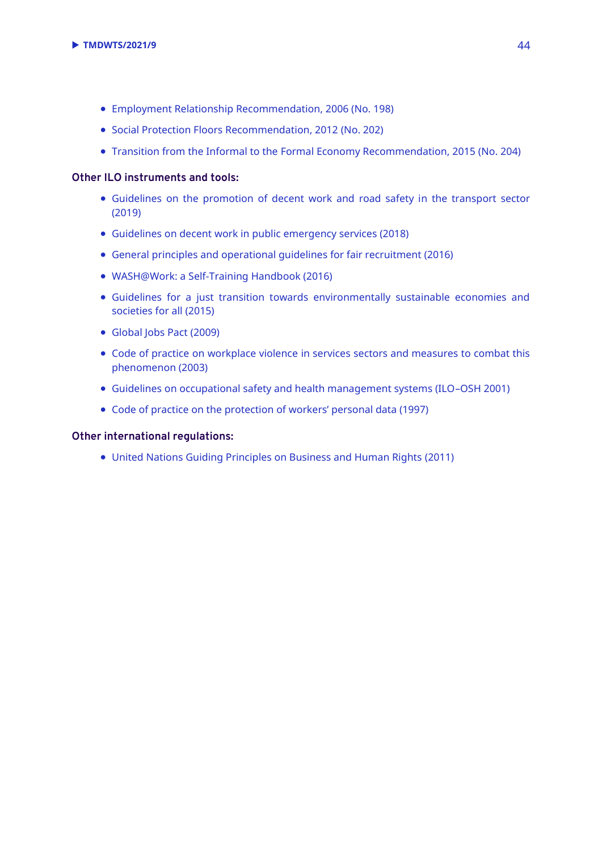- [Employment Relationship Recommendation, 2006 \(No. 198\)](https://ilo.org/dyn/normlex/en/f?p=NORMLEXPUB:12100:0::NO::P12100_INSTRUMENT_ID:312535)
- [Social Protection Floors Recommendation, 2012](https://www.ilo.org/dyn/normlex/en/f?p=NORMLEXPUB:12100:0::NO::P12100_INSTRUMENT_ID:3065524) (No. 202)
- Transition from the Informal to the [Formal Economy Recommendation, 2015](https://www.ilo.org/dyn/normlex/en/f?p=NORMLEXPUB:12100:0::NO::P12100_ILO_CODE:R204) (No. 204)

#### **Other ILO instruments and tools:**

- [Guidelines on the promotion of decent work and road safety in the transport sector](https://www.ilo.org/wcmsp5/groups/public/---ed_emp/---emp_ent/documents/publication/wcms_432859.pdf)  (2019)
- [Guidelines on decent work in public emergency services \(2018\)](https://www.ilo.org/sector/activities/sectoral-meetings/WCMS_626551/lang--en/index.htm)
- [General principles and operational guidelines for fair recruitment \(2016\)](https://www.ilo.org/global/topics/fair-recruitment/WCMS_536755)
- [WASH@Work: a Self-Training Handbook \(2016\)](https://www.ilo.org/global/docs/WCMS_535058/lang--en/index.htm)
- [Guidelines for a just transition towards environmentally sustainable economies and](https://www.ilo.org/wcmsp5/groups/public/---ed_emp/---emp_ent/documents/publication/wcms_432859.pdf)  [societies for all](https://www.ilo.org/wcmsp5/groups/public/---ed_emp/---emp_ent/documents/publication/wcms_432859.pdf) (2015)
- [Global Jobs Pact](https://www.ilo.org/wcmsp5/groups/public/---ed_norm/---relconf/documents/meetingdocument/wcms_115076.pdf) (2009)
- [Code of practice on workplace violence in services sectors and measures to combat this](https://www.ilo.org/global/topics/safety-and-health-at-work/normative-instruments/code-of-practice/WCMS_107705/lang--en/index.htm)  [phenomenon \(2003\)](https://www.ilo.org/global/topics/safety-and-health-at-work/normative-instruments/code-of-practice/WCMS_107705/lang--en/index.htm)
- [Guidelines on occupational safety and health management systems \(ILO](https://www.ilo.org/safework/info/standards-and-instruments/WCMS_107727/lang--en/index.htm)–OSH 2001)
- [Code of practice on the protection of workers' personal data \(1997\)](https://www.ilo.org/global/topics/safety-and-health-at-work/normative-instruments/code-of-practice/WCMS_107797/lang--en/index.htm)

#### **Other international regulations:**

United Nation[s Guiding Principles on Business and Human Rights](https://eur01.safelinks.protection.outlook.com/?url=https%3A%2F%2Fwww.ohchr.org%2Fdocuments%2Fpublications%2Fguidingprinciplesbusinesshr_en.pdf&data=04%7C01%7Ckamakura%40ilo.org%7C4b54507f49f5478bc5bc08d8d344bdec%7Cd49b07ca23024e7cb2cbe12127852850%7C0%7C0%7C637491639475522839%7CUnknown%7CTWFpbGZsb3d8eyJWIjoiMC4wLjAwMDAiLCJQIjoiV2luMzIiLCJBTiI6Ik1haWwiLCJXVCI6Mn0%3D%7C1000&sdata=%2B9LghKjiFRNkNfJxW6pS3v3xVPS3L9FN%2FYlp3LQurFk%3D&reserved=0) (2011)